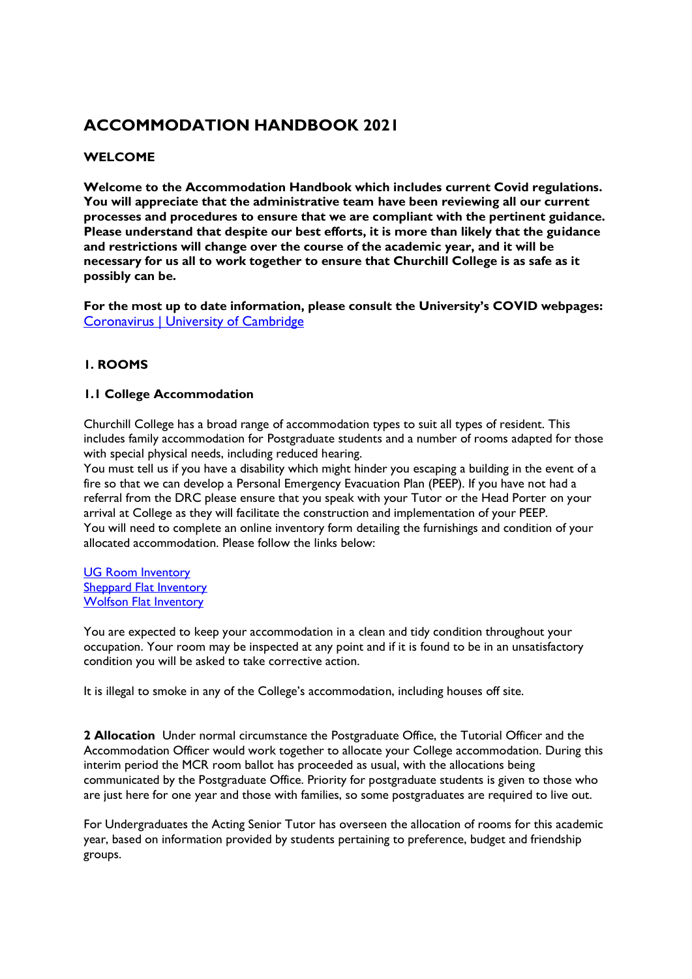# **ACCOMMODATION HANDBOOK 2021**

## **WELCOME**

**Welcome to the Accommodation Handbook which includes current Covid regulations. You will appreciate that the administrative team have been reviewing all our current processes and procedures to ensure that we are compliant with the pertinent guidance. Please understand that despite our best efforts, it is more than likely that the guidance and restrictions will change over the course of the academic year, and it will be necessary for us all to work together to ensure that Churchill College is as safe as it possibly can be.** 

**For the most up to date information, please consult the University's COVID webpages:**  [Coronavirus | University of Cambridge](https://www.cam.ac.uk/coronavirus)

## **1. ROOMS**

### **1.1 College Accommodation**

Churchill College has a broad range of accommodation types to suit all types of resident. This includes family accommodation for Postgraduate students and a number of rooms adapted for those with special physical needs, including reduced hearing.

You must tell us if you have a disability which might hinder you escaping a building in the event of a fire so that we can develop a Personal Emergency Evacuation Plan (PEEP). If you have not had a referral from the DRC please ensure that you speak with your Tutor or the Head Porter on your arrival at College as they will facilitate the construction and implementation of your PEEP. You will need to complete an online inventory form detailing the furnishings and condition of your allocated accommodation. Please follow the links below:

[UG Room Inventory](file:///O:/Shared/Students/Room%20inventory%20sheet%20Undergraduate%20and%20Postgraduate%202020.doc) [Sheppard Flat Inventory](file:///O:/Shared/Students/Sheppard%20Flat%20inventory%202020.xls) [Wolfson Flat Inventory](file:///O:/Shared/Students/Wolfson%20Inventory%202020.xls)

You are expected to keep your accommodation in a clean and tidy condition throughout your occupation. Your room may be inspected at any point and if it is found to be in an unsatisfactory condition you will be asked to take corrective action.

It is illegal to smoke in any of the College's accommodation, including houses off site.

**2 Allocation** Under normal circumstance the Postgraduate Office, the Tutorial Officer and the Accommodation Officer would work together to allocate your College accommodation. During this interim period the MCR room ballot has proceeded as usual, with the allocations being communicated by the Postgraduate Office. Priority for postgraduate students is given to those who are just here for one year and those with families, so some postgraduates are required to live out.

For Undergraduates the Acting Senior Tutor has overseen the allocation of rooms for this academic year, based on information provided by students pertaining to preference, budget and friendship groups.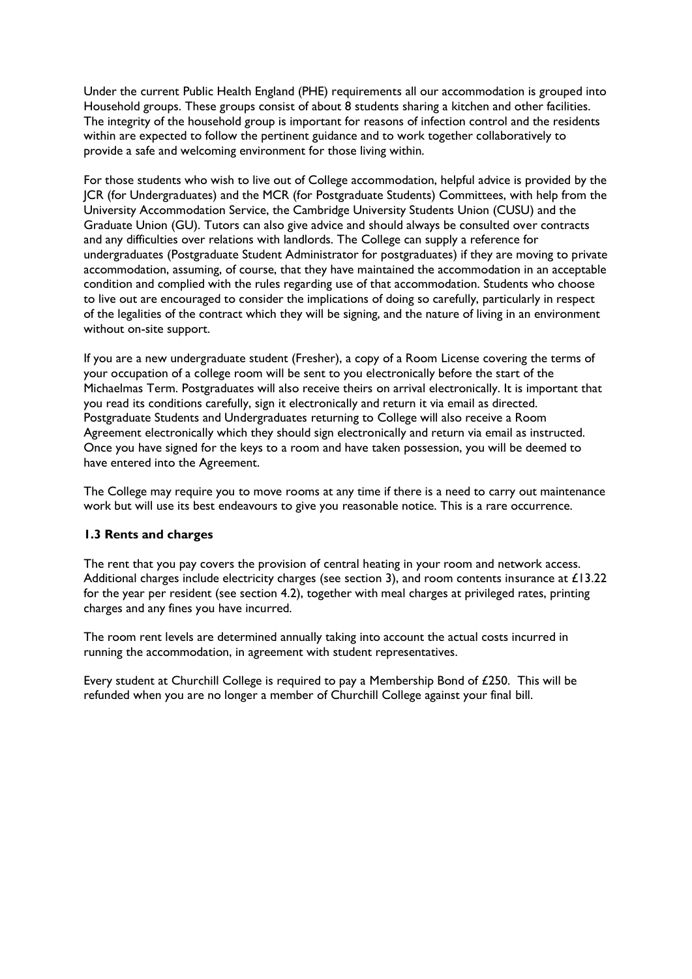Under the current Public Health England (PHE) requirements all our accommodation is grouped into Household groups. These groups consist of about 8 students sharing a kitchen and other facilities. The integrity of the household group is important for reasons of infection control and the residents within are expected to follow the pertinent guidance and to work together collaboratively to provide a safe and welcoming environment for those living within.

For those students who wish to live out of College accommodation, helpful advice is provided by the JCR (for Undergraduates) and the MCR (for Postgraduate Students) Committees, with help from the University Accommodation Service, the Cambridge University Students Union (CUSU) and the Graduate Union (GU). Tutors can also give advice and should always be consulted over contracts and any difficulties over relations with landlords. The College can supply a reference for undergraduates (Postgraduate Student Administrator for postgraduates) if they are moving to private accommodation, assuming, of course, that they have maintained the accommodation in an acceptable condition and complied with the rules regarding use of that accommodation. Students who choose to live out are encouraged to consider the implications of doing so carefully, particularly in respect of the legalities of the contract which they will be signing, and the nature of living in an environment without on-site support.

If you are a new undergraduate student (Fresher), a copy of a Room License covering the terms of your occupation of a college room will be sent to you electronically before the start of the Michaelmas Term. Postgraduates will also receive theirs on arrival electronically. It is important that you read its conditions carefully, sign it electronically and return it via email as directed. Postgraduate Students and Undergraduates returning to College will also receive a Room Agreement electronically which they should sign electronically and return via email as instructed. Once you have signed for the keys to a room and have taken possession, you will be deemed to have entered into the Agreement.

The College may require you to move rooms at any time if there is a need to carry out maintenance work but will use its best endeavours to give you reasonable notice. This is a rare occurrence.

### **1.3 Rents and charges**

The rent that you pay covers the provision of central heating in your room and network access. Additional charges include electricity charges (see section 3), and room contents insurance at £13.22 for the year per resident (see section 4.2), together with meal charges at privileged rates, printing charges and any fines you have incurred.

The room rent levels are determined annually taking into account the actual costs incurred in running the accommodation, in agreement with student representatives.

Every student at Churchill College is required to pay a Membership Bond of £250. This will be refunded when you are no longer a member of Churchill College against your final bill.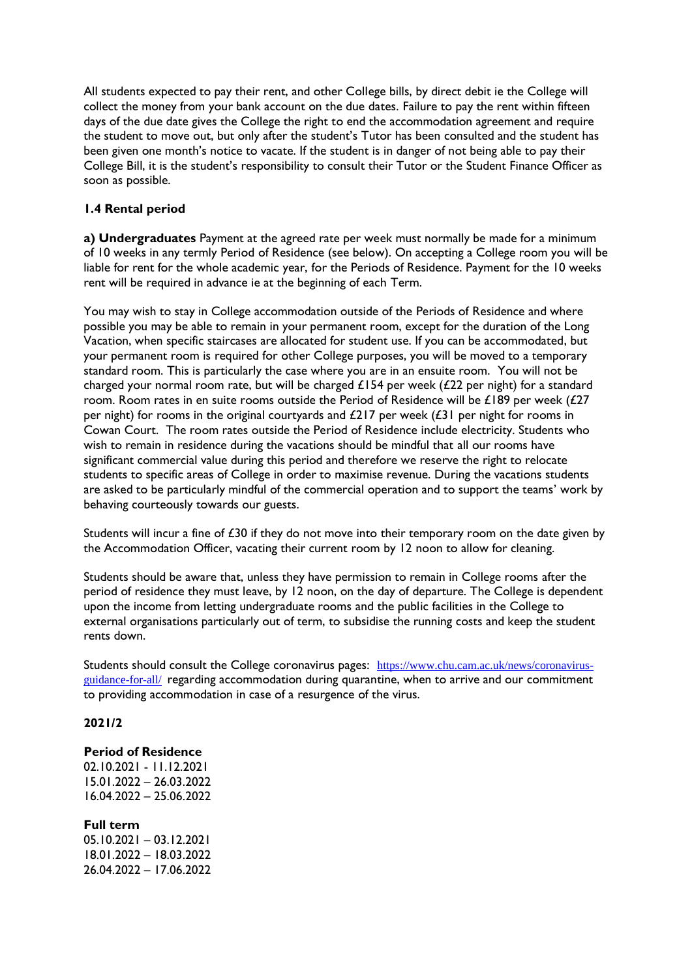All students expected to pay their rent, and other College bills, by direct debit ie the College will collect the money from your bank account on the due dates. Failure to pay the rent within fifteen days of the due date gives the College the right to end the accommodation agreement and require the student to move out, but only after the student's Tutor has been consulted and the student has been given one month's notice to vacate. If the student is in danger of not being able to pay their College Bill, it is the student's responsibility to consult their Tutor or the Student Finance Officer as soon as possible.

### **1.4 Rental period**

**a) Undergraduates** Payment at the agreed rate per week must normally be made for a minimum of 10 weeks in any termly Period of Residence (see below). On accepting a College room you will be liable for rent for the whole academic year, for the Periods of Residence. Payment for the 10 weeks rent will be required in advance ie at the beginning of each Term.

You may wish to stay in College accommodation outside of the Periods of Residence and where possible you may be able to remain in your permanent room, except for the duration of the Long Vacation, when specific staircases are allocated for student use. If you can be accommodated, but your permanent room is required for other College purposes, you will be moved to a temporary standard room. This is particularly the case where you are in an ensuite room. You will not be charged your normal room rate, but will be charged £154 per week (£22 per night) for a standard room. Room rates in en suite rooms outside the Period of Residence will be £189 per week (£27 per night) for rooms in the original courtyards and £217 per week (£31 per night for rooms in Cowan Court. The room rates outside the Period of Residence include electricity. Students who wish to remain in residence during the vacations should be mindful that all our rooms have significant commercial value during this period and therefore we reserve the right to relocate students to specific areas of College in order to maximise revenue. During the vacations students are asked to be particularly mindful of the commercial operation and to support the teams' work by behaving courteously towards our guests.

Students will incur a fine of £30 if they do not move into their temporary room on the date given by the Accommodation Officer, vacating their current room by 12 noon to allow for cleaning.

Students should be aware that, unless they have permission to remain in College rooms after the period of residence they must leave, by 12 noon, on the day of departure. The College is dependent upon the income from letting undergraduate rooms and the public facilities in the College to external organisations particularly out of term, to subsidise the running costs and keep the student rents down.

Students should consult the College coronavirus pages: [https://www.chu.cam.ac.uk/news/coronavirus](https://www.chu.cam.ac.uk/news/coronavirus-guidance-for-all/)[guidance-for-all/](https://www.chu.cam.ac.uk/news/coronavirus-guidance-for-all/) regarding accommodation during quarantine, when to arrive and our commitment to providing accommodation in case of a resurgence of the virus.

### **2021/2**

### **Period of Residence**

02.10.2021 - 11.12.2021 15.01.2022 – 26.03.2022 16.04.2022 – 25.06.2022

**Full term**  05.10.2021 – 03.12.2021 18.01.2022 – 18.03.2022 26.04.2022 – 17.06.2022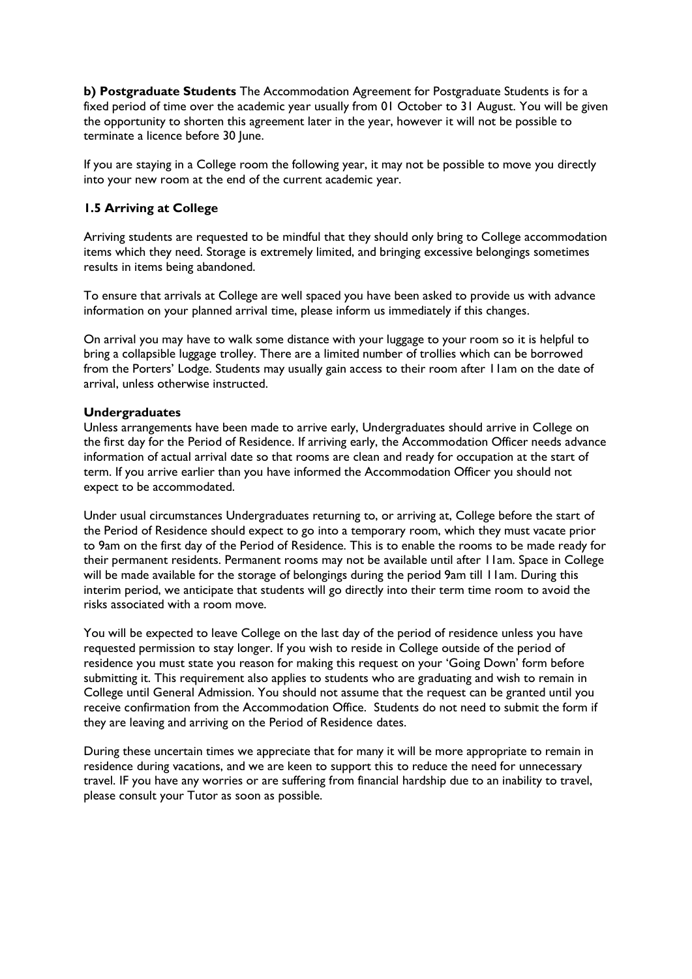**b) Postgraduate Students** The Accommodation Agreement for Postgraduate Students is for a fixed period of time over the academic year usually from 01 October to 31 August. You will be given the opportunity to shorten this agreement later in the year, however it will not be possible to terminate a licence before 30 June.

If you are staying in a College room the following year, it may not be possible to move you directly into your new room at the end of the current academic year.

### **1.5 Arriving at College**

Arriving students are requested to be mindful that they should only bring to College accommodation items which they need. Storage is extremely limited, and bringing excessive belongings sometimes results in items being abandoned.

To ensure that arrivals at College are well spaced you have been asked to provide us with advance information on your planned arrival time, please inform us immediately if this changes.

On arrival you may have to walk some distance with your luggage to your room so it is helpful to bring a collapsible luggage trolley. There are a limited number of trollies which can be borrowed from the Porters' Lodge. Students may usually gain access to their room after 11am on the date of arrival, unless otherwise instructed.

### **Undergraduates**

Unless arrangements have been made to arrive early, Undergraduates should arrive in College on the first day for the Period of Residence. If arriving early, the Accommodation Officer needs advance information of actual arrival date so that rooms are clean and ready for occupation at the start of term. If you arrive earlier than you have informed the Accommodation Officer you should not expect to be accommodated.

Under usual circumstances Undergraduates returning to, or arriving at, College before the start of the Period of Residence should expect to go into a temporary room, which they must vacate prior to 9am on the first day of the Period of Residence. This is to enable the rooms to be made ready for their permanent residents. Permanent rooms may not be available until after 11am. Space in College will be made available for the storage of belongings during the period 9am till 11am. During this interim period, we anticipate that students will go directly into their term time room to avoid the risks associated with a room move.

You will be expected to leave College on the last day of the period of residence unless you have requested permission to stay longer. If you wish to reside in College outside of the period of residence you must state you reason for making this request on your 'Going Down' form before submitting it. This requirement also applies to students who are graduating and wish to remain in College until General Admission. You should not assume that the request can be granted until you receive confirmation from the Accommodation Office. Students do not need to submit the form if they are leaving and arriving on the Period of Residence dates.

During these uncertain times we appreciate that for many it will be more appropriate to remain in residence during vacations, and we are keen to support this to reduce the need for unnecessary travel. IF you have any worries or are suffering from financial hardship due to an inability to travel, please consult your Tutor as soon as possible.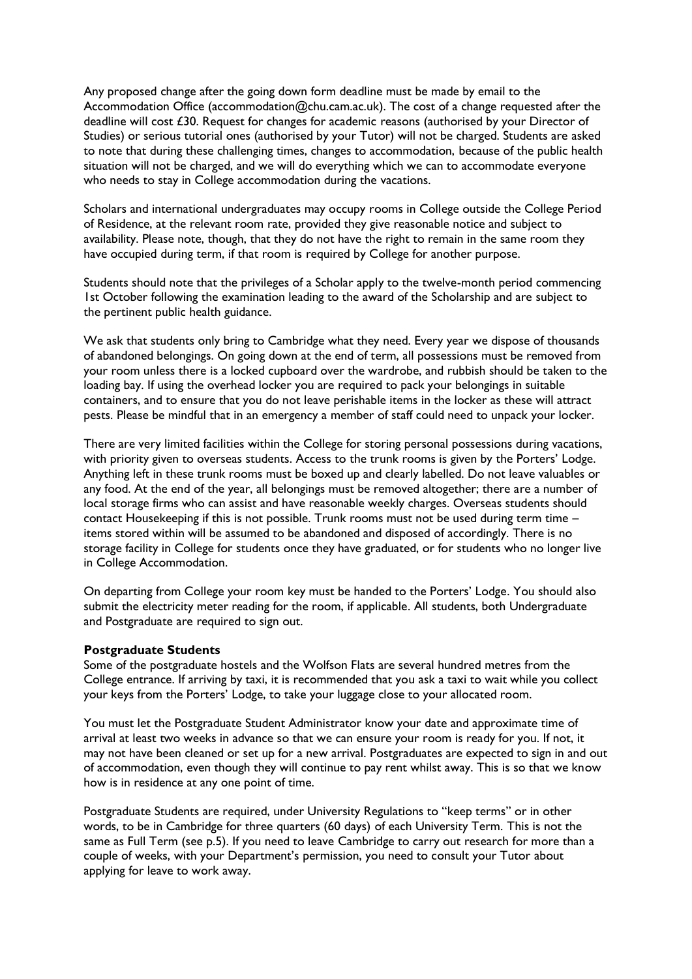Any proposed change after the going down form deadline must be made by email to the Accommodation Office (accommodation@chu.cam.ac.uk). The cost of a change requested after the deadline will cost £30. Request for changes for academic reasons (authorised by your Director of Studies) or serious tutorial ones (authorised by your Tutor) will not be charged. Students are asked to note that during these challenging times, changes to accommodation, because of the public health situation will not be charged, and we will do everything which we can to accommodate everyone who needs to stay in College accommodation during the vacations.

Scholars and international undergraduates may occupy rooms in College outside the College Period of Residence, at the relevant room rate, provided they give reasonable notice and subject to availability. Please note, though, that they do not have the right to remain in the same room they have occupied during term, if that room is required by College for another purpose.

Students should note that the privileges of a Scholar apply to the twelve-month period commencing 1st October following the examination leading to the award of the Scholarship and are subject to the pertinent public health guidance.

We ask that students only bring to Cambridge what they need. Every year we dispose of thousands of abandoned belongings. On going down at the end of term, all possessions must be removed from your room unless there is a locked cupboard over the wardrobe, and rubbish should be taken to the loading bay. If using the overhead locker you are required to pack your belongings in suitable containers, and to ensure that you do not leave perishable items in the locker as these will attract pests. Please be mindful that in an emergency a member of staff could need to unpack your locker.

There are very limited facilities within the College for storing personal possessions during vacations, with priority given to overseas students. Access to the trunk rooms is given by the Porters' Lodge. Anything left in these trunk rooms must be boxed up and clearly labelled. Do not leave valuables or any food. At the end of the year, all belongings must be removed altogether; there are a number of local storage firms who can assist and have reasonable weekly charges. Overseas students should contact Housekeeping if this is not possible. Trunk rooms must not be used during term time  $$ items stored within will be assumed to be abandoned and disposed of accordingly. There is no storage facility in College for students once they have graduated, or for students who no longer live in College Accommodation.

On departing from College your room key must be handed to the Porters' Lodge. You should also submit the electricity meter reading for the room, if applicable. All students, both Undergraduate and Postgraduate are required to sign out.

### **Postgraduate Students**

Some of the postgraduate hostels and the Wolfson Flats are several hundred metres from the College entrance. If arriving by taxi, it is recommended that you ask a taxi to wait while you collect your keys from the Porters' Lodge, to take your luggage close to your allocated room.

You must let the Postgraduate Student Administrator know your date and approximate time of arrival at least two weeks in advance so that we can ensure your room is ready for you. If not, it may not have been cleaned or set up for a new arrival. Postgraduates are expected to sign in and out of accommodation, even though they will continue to pay rent whilst away. This is so that we know how is in residence at any one point of time.

Postgraduate Students are required, under University Regulations to "keep terms" or in other words, to be in Cambridge for three quarters (60 days) of each University Term. This is not the same as Full Term (see p.5). If you need to leave Cambridge to carry out research for more than a couple of weeks, with your Department's permission, you need to consult your Tutor about applying for leave to work away.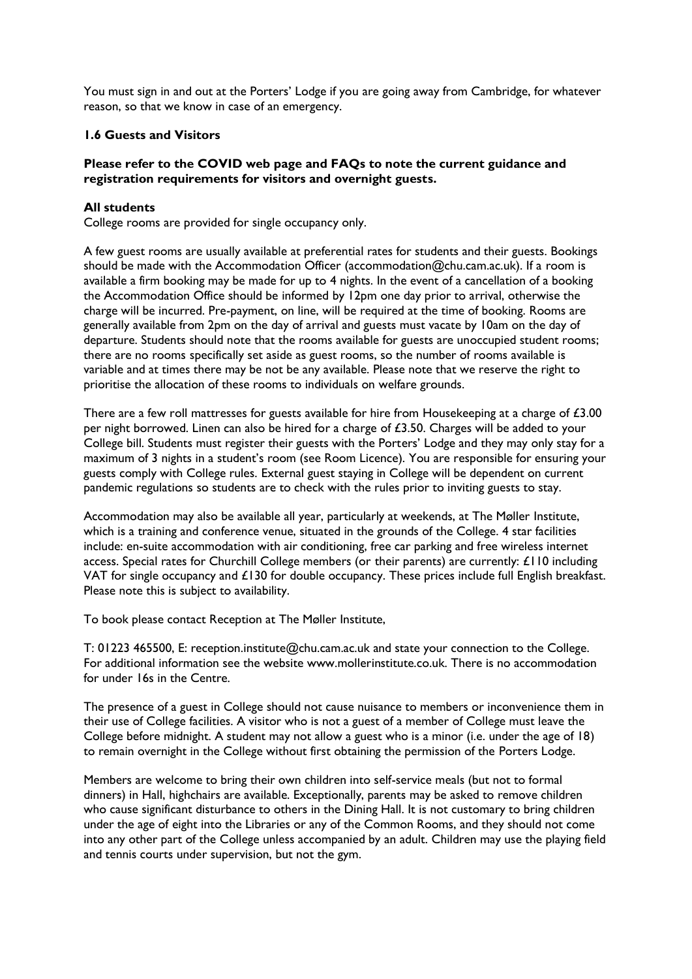You must sign in and out at the Porters' Lodge if you are going away from Cambridge, for whatever reason, so that we know in case of an emergency.

### **1.6 Guests and Visitors**

### **Please refer to the COVID web page and FAQs to note the current guidance and registration requirements for visitors and overnight guests.**

### **All students**

College rooms are provided for single occupancy only.

A few guest rooms are usually available at preferential rates for students and their guests. Bookings should be made with the Accommodation Officer (accommodation@chu.cam.ac.uk). If a room is available a firm booking may be made for up to 4 nights. In the event of a cancellation of a booking the Accommodation Office should be informed by 12pm one day prior to arrival, otherwise the charge will be incurred. Pre-payment, on line, will be required at the time of booking. Rooms are generally available from 2pm on the day of arrival and guests must vacate by 10am on the day of departure. Students should note that the rooms available for guests are unoccupied student rooms; there are no rooms specifically set aside as guest rooms, so the number of rooms available is variable and at times there may be not be any available. Please note that we reserve the right to prioritise the allocation of these rooms to individuals on welfare grounds.

There are a few roll mattresses for guests available for hire from Housekeeping at a charge of £3.00 per night borrowed. Linen can also be hired for a charge of £3.50. Charges will be added to your College bill. Students must register their guests with the Porters' Lodge and they may only stay for a maximum of 3 nights in a student's room (see Room Licence). You are responsible for ensuring your guests comply with College rules. External guest staying in College will be dependent on current pandemic regulations so students are to check with the rules prior to inviting guests to stay.

Accommodation may also be available all year, particularly at weekends, at The Møller Institute, which is a training and conference venue, situated in the grounds of the College. 4 star facilities include: en-suite accommodation with air conditioning, free car parking and free wireless internet access. Special rates for Churchill College members (or their parents) are currently: £110 including VAT for single occupancy and £130 for double occupancy. These prices include full English breakfast. Please note this is subject to availability.

To book please contact Reception at The Møller Institute,

T: 01223 465500, E: reception.institute@chu.cam.ac.uk and state your connection to the College. For additional information see the website www.mollerinstitute.co.uk. There is no accommodation for under 16s in the Centre.

The presence of a guest in College should not cause nuisance to members or inconvenience them in their use of College facilities. A visitor who is not a guest of a member of College must leave the College before midnight. A student may not allow a guest who is a minor (i.e. under the age of 18) to remain overnight in the College without first obtaining the permission of the Porters Lodge.

Members are welcome to bring their own children into self-service meals (but not to formal dinners) in Hall, highchairs are available. Exceptionally, parents may be asked to remove children who cause significant disturbance to others in the Dining Hall. It is not customary to bring children under the age of eight into the Libraries or any of the Common Rooms, and they should not come into any other part of the College unless accompanied by an adult. Children may use the playing field and tennis courts under supervision, but not the gym.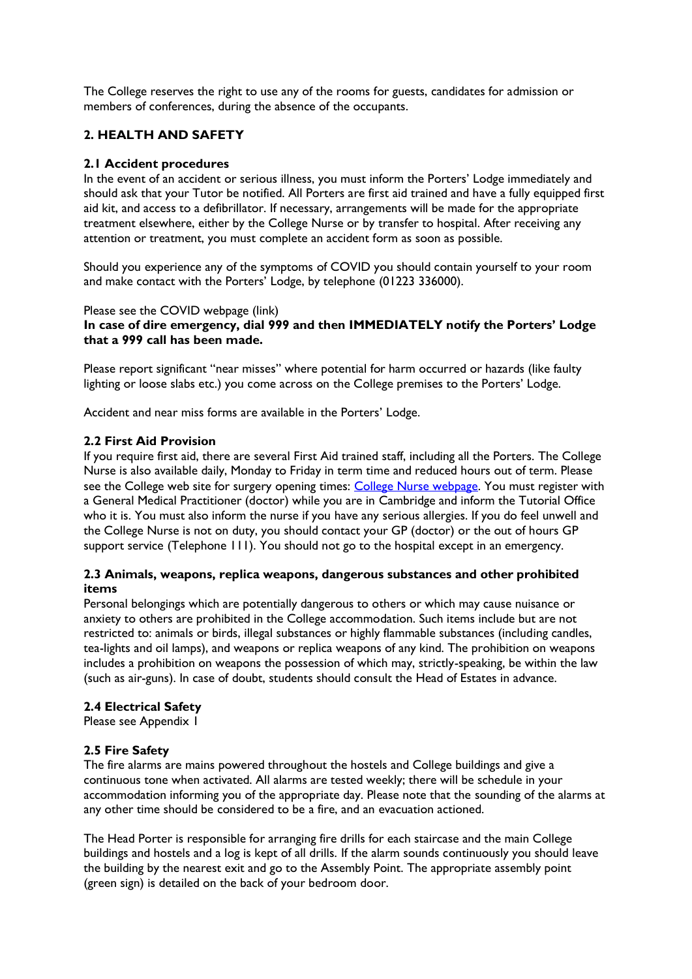The College reserves the right to use any of the rooms for guests, candidates for admission or members of conferences, during the absence of the occupants.

## **2. HEALTH AND SAFETY**

### **2.1 Accident procedures**

In the event of an accident or serious illness, you must inform the Porters' Lodge immediately and should ask that your Tutor be notified. All Porters are first aid trained and have a fully equipped first aid kit, and access to a defibrillator. If necessary, arrangements will be made for the appropriate treatment elsewhere, either by the College Nurse or by transfer to hospital. After receiving any attention or treatment, you must complete an accident form as soon as possible.

Should you experience any of the symptoms of COVID you should contain yourself to your room and make contact with the Porters' Lodge, by telephone (01223 336000).

#### Please see the COVID webpage (link)

### **In case of dire emergency, dial 999 and then IMMEDIATELY notify the Porters' Lodge that a 999 call has been made.**

Please report significant "near misses" where potential for harm occurred or hazards (like faulty lighting or loose slabs etc.) you come across on the College premises to the Porters' Lodge.

Accident and near miss forms are available in the Porters' Lodge.

### **2.2 First Aid Provision**

If you require first aid, there are several First Aid trained staff, including all the Porters. The College Nurse is also available daily, Monday to Friday in term time and reduced hours out of term. Please see the College web site for surgery opening times: [College Nurse webpage.](https://www.chu.cam.ac.uk/student-hub/resources/support-welfare/nurse/) You must register with a General Medical Practitioner (doctor) while you are in Cambridge and inform the Tutorial Office who it is. You must also inform the nurse if you have any serious allergies. If you do feel unwell and the College Nurse is not on duty, you should contact your GP (doctor) or the out of hours GP support service (Telephone 111). You should not go to the hospital except in an emergency.

### **2.3 Animals, weapons, replica weapons, dangerous substances and other prohibited items**

Personal belongings which are potentially dangerous to others or which may cause nuisance or anxiety to others are prohibited in the College accommodation. Such items include but are not restricted to: animals or birds, illegal substances or highly flammable substances (including candles, tea-lights and oil lamps), and weapons or replica weapons of any kind. The prohibition on weapons includes a prohibition on weapons the possession of which may, strictly-speaking, be within the law (such as air-guns). In case of doubt, students should consult the Head of Estates in advance.

### **2.4 Electrical Safety**

Please see Appendix 1

### **2.5 Fire Safety**

The fire alarms are mains powered throughout the hostels and College buildings and give a continuous tone when activated. All alarms are tested weekly; there will be schedule in your accommodation informing you of the appropriate day. Please note that the sounding of the alarms at any other time should be considered to be a fire, and an evacuation actioned.

The Head Porter is responsible for arranging fire drills for each staircase and the main College buildings and hostels and a log is kept of all drills. If the alarm sounds continuously you should leave the building by the nearest exit and go to the Assembly Point. The appropriate assembly point (green sign) is detailed on the back of your bedroom door.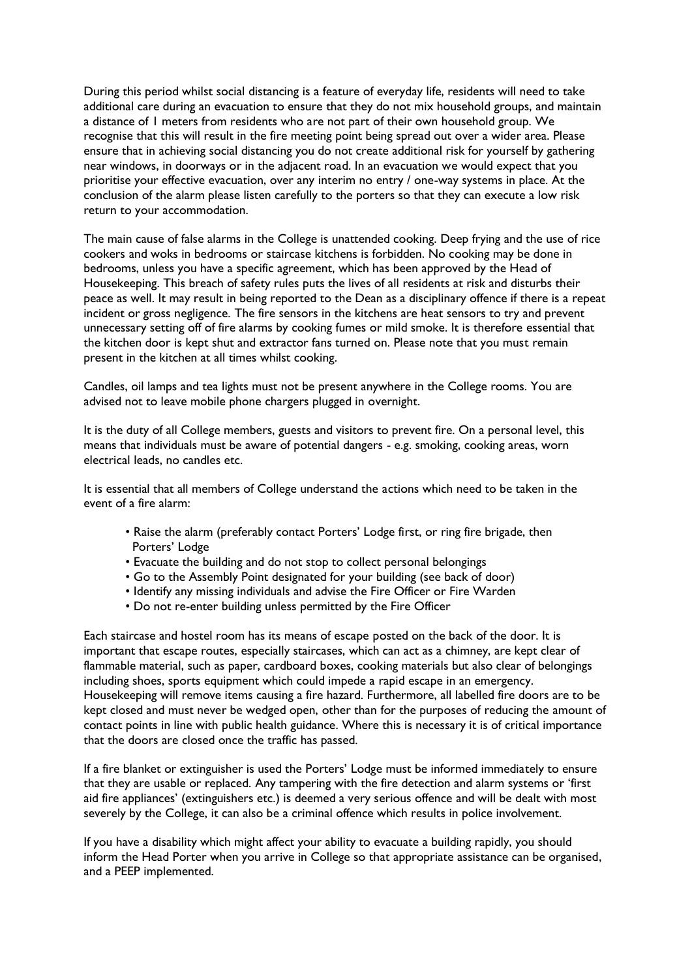During this period whilst social distancing is a feature of everyday life, residents will need to take additional care during an evacuation to ensure that they do not mix household groups, and maintain a distance of 1 meters from residents who are not part of their own household group. We recognise that this will result in the fire meeting point being spread out over a wider area. Please ensure that in achieving social distancing you do not create additional risk for yourself by gathering near windows, in doorways or in the adjacent road. In an evacuation we would expect that you prioritise your effective evacuation, over any interim no entry / one-way systems in place. At the conclusion of the alarm please listen carefully to the porters so that they can execute a low risk return to your accommodation.

The main cause of false alarms in the College is unattended cooking. Deep frying and the use of rice cookers and woks in bedrooms or staircase kitchens is forbidden. No cooking may be done in bedrooms, unless you have a specific agreement, which has been approved by the Head of Housekeeping. This breach of safety rules puts the lives of all residents at risk and disturbs their peace as well. It may result in being reported to the Dean as a disciplinary offence if there is a repeat incident or gross negligence. The fire sensors in the kitchens are heat sensors to try and prevent unnecessary setting off of fire alarms by cooking fumes or mild smoke. It is therefore essential that the kitchen door is kept shut and extractor fans turned on. Please note that you must remain present in the kitchen at all times whilst cooking.

Candles, oil lamps and tea lights must not be present anywhere in the College rooms. You are advised not to leave mobile phone chargers plugged in overnight.

It is the duty of all College members, guests and visitors to prevent fire. On a personal level, this means that individuals must be aware of potential dangers - e.g. smoking, cooking areas, worn electrical leads, no candles etc.

It is essential that all members of College understand the actions which need to be taken in the event of a fire alarm:

- Raise the alarm (preferably contact Porters' Lodge first, or ring fire brigade, then Porters' Lodge
- Evacuate the building and do not stop to collect personal belongings
- Go to the Assembly Point designated for your building (see back of door)
- Identify any missing individuals and advise the Fire Officer or Fire Warden
- Do not re-enter building unless permitted by the Fire Officer

Each staircase and hostel room has its means of escape posted on the back of the door. It is important that escape routes, especially staircases, which can act as a chimney, are kept clear of flammable material, such as paper, cardboard boxes, cooking materials but also clear of belongings including shoes, sports equipment which could impede a rapid escape in an emergency. Housekeeping will remove items causing a fire hazard. Furthermore, all labelled fire doors are to be kept closed and must never be wedged open, other than for the purposes of reducing the amount of contact points in line with public health guidance. Where this is necessary it is of critical importance that the doors are closed once the traffic has passed.

If a fire blanket or extinguisher is used the Porters' Lodge must be informed immediately to ensure that they are usable or replaced. Any tampering with the fire detection and alarm systems or 'first aid fire appliances' (extinguishers etc.) is deemed a very serious offence and will be dealt with most severely by the College, it can also be a criminal offence which results in police involvement.

If you have a disability which might affect your ability to evacuate a building rapidly, you should inform the Head Porter when you arrive in College so that appropriate assistance can be organised, and a PEEP implemented.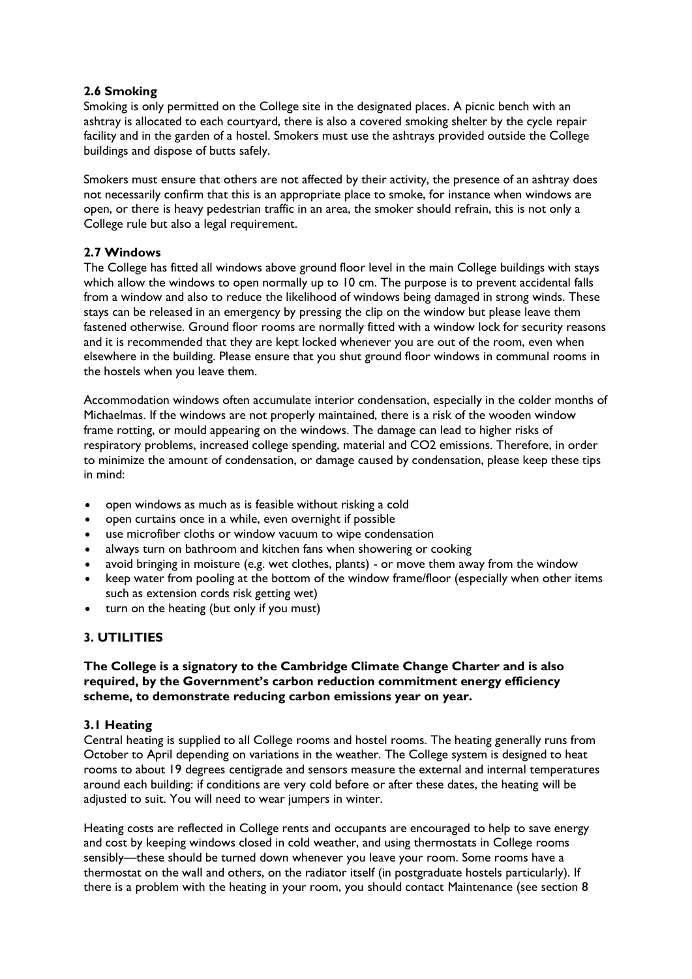### **2.6 Smoking**

Smoking is only permitted on the College site in the designated places. A picnic bench with an ashtray is allocated to each courtyard, there is also a covered smoking shelter by the cycle repair facility and in the garden of a hostel. Smokers must use the ashtrays provided outside the College buildings and dispose of butts safely.

Smokers must ensure that others are not affected by their activity, the presence of an ashtray does not necessarily confirm that this is an appropriate place to smoke, for instance when windows are open, or there is heavy pedestrian traffic in an area, the smoker should refrain, this is not only a College rule but also a legal requirement.

### **2.7 Windows**

The College has fitted all windows above ground floor level in the main College buildings with stays which allow the windows to open normally up to 10 cm. The purpose is to prevent accidental falls from a window and also to reduce the likelihood of windows being damaged in strong winds. These stays can be released in an emergency by pressing the clip on the window but please leave them fastened otherwise. Ground floor rooms are normally fitted with a window lock for security reasons and it is recommended that they are kept locked whenever you are out of the room, even when elsewhere in the building. Please ensure that you shut ground floor windows in communal rooms in the hostels when you leave them.

Accommodation windows often accumulate interior condensation, especially in the colder months of Michaelmas. If the windows are not properly maintained, there is a risk of the wooden window frame rotting, or mould appearing on the windows. The damage can lead to higher risks of respiratory problems, increased college spending, material and CO2 emissions. Therefore, in order to minimize the amount of condensation, or damage caused by condensation, please keep these tips in mind:

- open windows as much as is feasible without risking a cold
- open curtains once in a while, even overnight if possible
- use microfiber cloths or window vacuum to wipe condensation
- always turn on bathroom and kitchen fans when showering or cooking
- avoid bringing in moisture (e.g. wet clothes, plants) or move them away from the window
- keep water from pooling at the bottom of the window frame/floor (especially when other items such as extension cords risk getting wet)
- turn on the heating (but only if you must)

### **3. UTILITIES**

### **The College is a signatory to the Cambridge Climate Change Charter and is also required, by the Government's carbon reduction commitment energy efficiency scheme, to demonstrate reducing carbon emissions year on year.**

### **3.1 Heating**

Central heating is supplied to all College rooms and hostel rooms. The heating generally runs from October to April depending on variations in the weather. The College system is designed to heat rooms to about 19 degrees centigrade and sensors measure the external and internal temperatures around each building: if conditions are very cold before or after these dates, the heating will be adjusted to suit. You will need to wear jumpers in winter.

Heating costs are reflected in College rents and occupants are encouraged to help to save energy and cost by keeping windows closed in cold weather, and using thermostats in College rooms sensibly—these should be turned down whenever you leave your room. Some rooms have a thermostat on the wall and others, on the radiator itself (in postgraduate hostels particularly). If there is a problem with the heating in your room, you should contact Maintenance (see section 8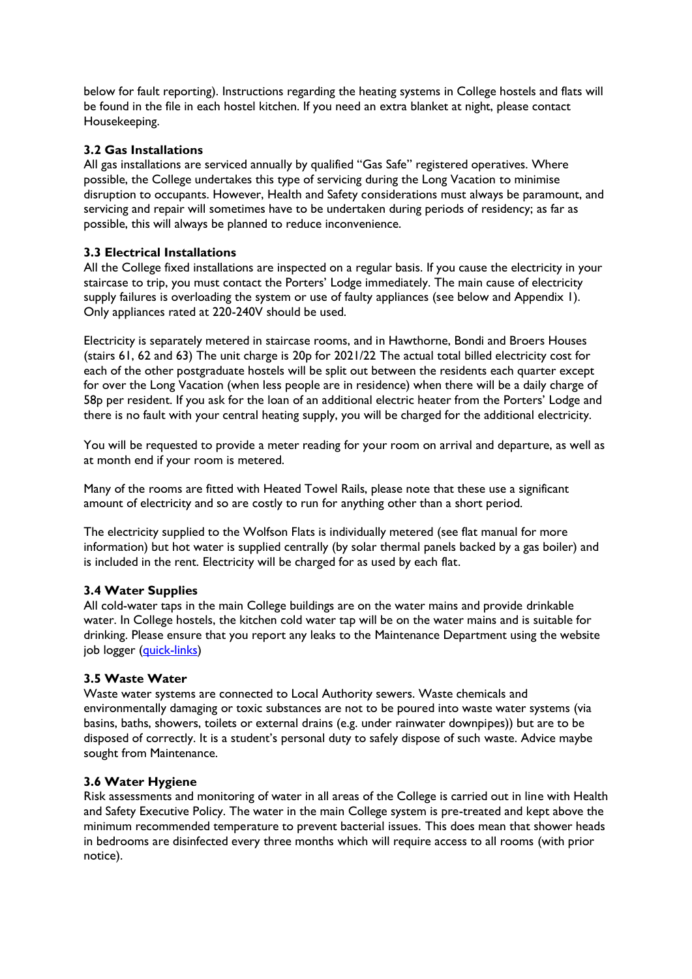below for fault reporting). Instructions regarding the heating systems in College hostels and flats will be found in the file in each hostel kitchen. If you need an extra blanket at night, please contact Housekeeping.

### **3.2 Gas Installations**

All gas installations are serviced annually by qualified "Gas Safe" registered operatives. Where possible, the College undertakes this type of servicing during the Long Vacation to minimise disruption to occupants. However, Health and Safety considerations must always be paramount, and servicing and repair will sometimes have to be undertaken during periods of residency; as far as possible, this will always be planned to reduce inconvenience.

### **3.3 Electrical Installations**

All the College fixed installations are inspected on a regular basis. If you cause the electricity in your staircase to trip, you must contact the Porters' Lodge immediately. The main cause of electricity supply failures is overloading the system or use of faulty appliances (see below and Appendix 1). Only appliances rated at 220-240V should be used.

Electricity is separately metered in staircase rooms, and in Hawthorne, Bondi and Broers Houses (stairs 61, 62 and 63) The unit charge is 20p for 2021/22 The actual total billed electricity cost for each of the other postgraduate hostels will be split out between the residents each quarter except for over the Long Vacation (when less people are in residence) when there will be a daily charge of 58p per resident. If you ask for the loan of an additional electric heater from the Porters' Lodge and there is no fault with your central heating supply, you will be charged for the additional electricity.

You will be requested to provide a meter reading for your room on arrival and departure, as well as at month end if your room is metered.

Many of the rooms are fitted with Heated Towel Rails, please note that these use a significant amount of electricity and so are costly to run for anything other than a short period.

The electricity supplied to the Wolfson Flats is individually metered (see flat manual for more information) but hot water is supplied centrally (by solar thermal panels backed by a gas boiler) and is included in the rent. Electricity will be charged for as used by each flat.

### **3.4 Water Supplies**

All cold-water taps in the main College buildings are on the water mains and provide drinkable water. In College hostels, the kitchen cold water tap will be on the water mains and is suitable for drinking. Please ensure that you report any leaks to the Maintenance Department using the website job logger [\(quick-links\)](https://www.chu.cam.ac.uk/student-hub/quick-links/)

### **3.5 Waste Water**

Waste water systems are connected to Local Authority sewers. Waste chemicals and environmentally damaging or toxic substances are not to be poured into waste water systems (via basins, baths, showers, toilets or external drains (e.g. under rainwater downpipes)) but are to be disposed of correctly. It is a student's personal duty to safely dispose of such waste. Advice maybe sought from Maintenance.

### **3.6 Water Hygiene**

Risk assessments and monitoring of water in all areas of the College is carried out in line with Health and Safety Executive Policy. The water in the main College system is pre-treated and kept above the minimum recommended temperature to prevent bacterial issues. This does mean that shower heads in bedrooms are disinfected every three months which will require access to all rooms (with prior notice).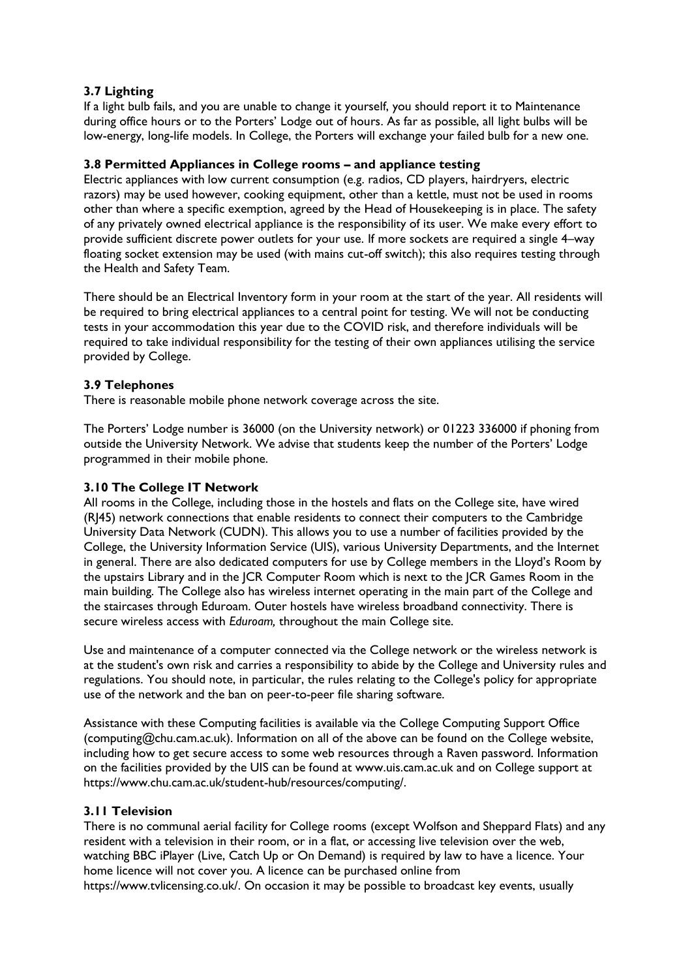### **3.7 Lighting**

If a light bulb fails, and you are unable to change it yourself, you should report it to Maintenance during office hours or to the Porters' Lodge out of hours. As far as possible, all light bulbs will be low-energy, long-life models. In College, the Porters will exchange your failed bulb for a new one.

### **3.8 Permitted Appliances in College rooms – and appliance testing**

Electric appliances with low current consumption (e.g. radios, CD players, hairdryers, electric razors) may be used however, cooking equipment, other than a kettle, must not be used in rooms other than where a specific exemption, agreed by the Head of Housekeeping is in place. The safety of any privately owned electrical appliance is the responsibility of its user. We make every effort to provide sufficient discrete power outlets for your use. If more sockets are required a single 4–way floating socket extension may be used (with mains cut-off switch); this also requires testing through the Health and Safety Team.

There should be an Electrical Inventory form in your room at the start of the year. All residents will be required to bring electrical appliances to a central point for testing. We will not be conducting tests in your accommodation this year due to the COVID risk, and therefore individuals will be required to take individual responsibility for the testing of their own appliances utilising the service provided by College.

### **3.9 Telephones**

There is reasonable mobile phone network coverage across the site.

The Porters' Lodge number is 36000 (on the University network) or 01223 336000 if phoning from outside the University Network. We advise that students keep the number of the Porters' Lodge programmed in their mobile phone.

### **3.10 The College IT Network**

All rooms in the College, including those in the hostels and flats on the College site, have wired (RJ45) network connections that enable residents to connect their computers to the Cambridge University Data Network (CUDN). This allows you to use a number of facilities provided by the College, the University Information Service (UIS), various University Departments, and the Internet in general. There are also dedicated computers for use by College members in the Lloyd's Room by the upstairs Library and in the JCR Computer Room which is next to the JCR Games Room in the main building. The College also has wireless internet operating in the main part of the College and the staircases through Eduroam. Outer hostels have wireless broadband connectivity. There is secure wireless access with *Eduroam,* throughout the main College site.

Use and maintenance of a computer connected via the College network or the wireless network is at the student's own risk and carries a responsibility to abide by the College and University rules and regulations. You should note, in particular, the rules relating to the College's policy for appropriate use of the network and the ban on peer-to-peer file sharing software.

Assistance with these Computing facilities is available via the College Computing Support Office (computing@chu.cam.ac.uk). Information on all of the above can be found on the College website, including how to get secure access to some web resources through a Raven password. Information on the facilities provided by the UIS can be found at www.uis.cam.ac.uk and on College support at https://www.chu.cam.ac.uk/student-hub/resources/computing/.

### **3.11 Television**

There is no communal aerial facility for College rooms (except Wolfson and Sheppard Flats) and any resident with a television in their room, or in a flat, or accessing live television over the web, watching BBC iPlayer (Live, Catch Up or On Demand) is required by law to have a licence. Your home licence will not cover you. A licence can be purchased online from https://www.tvlicensing.co.uk/. On occasion it may be possible to broadcast key events, usually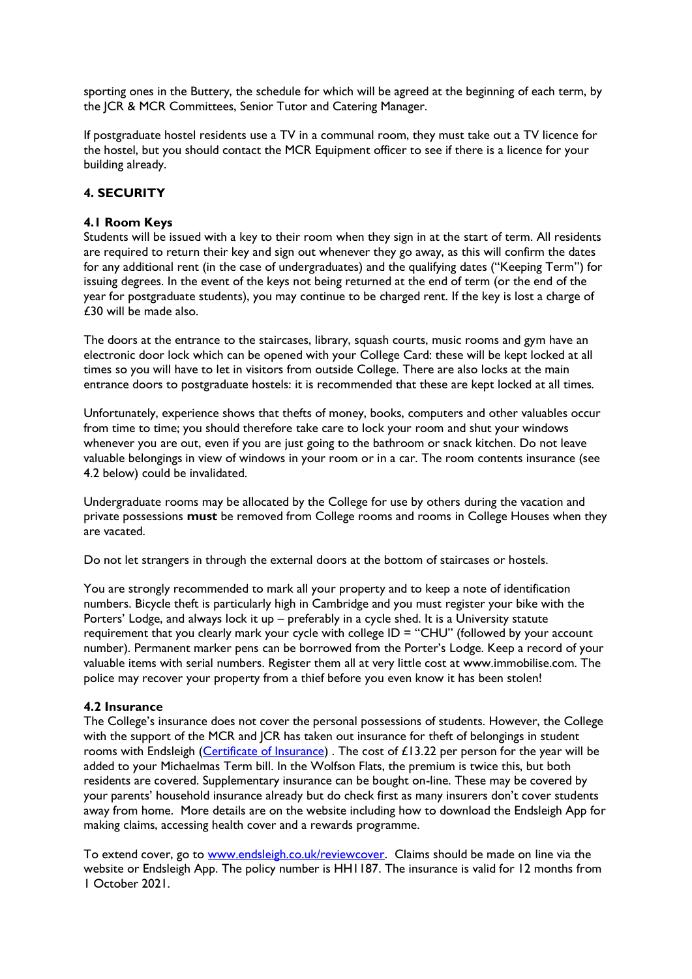sporting ones in the Buttery, the schedule for which will be agreed at the beginning of each term, by the JCR & MCR Committees, Senior Tutor and Catering Manager.

If postgraduate hostel residents use a TV in a communal room, they must take out a TV licence for the hostel, but you should contact the MCR Equipment officer to see if there is a licence for your building already.

## **4. SECURITY**

### **4.1 Room Keys**

Students will be issued with a key to their room when they sign in at the start of term. All residents are required to return their key and sign out whenever they go away, as this will confirm the dates for any additional rent (in the case of undergraduates) and the qualifying dates ("Keeping Term") for issuing degrees. In the event of the keys not being returned at the end of term (or the end of the year for postgraduate students), you may continue to be charged rent. If the key is lost a charge of £30 will be made also.

The doors at the entrance to the staircases, library, squash courts, music rooms and gym have an electronic door lock which can be opened with your College Card: these will be kept locked at all times so you will have to let in visitors from outside College. There are also locks at the main entrance doors to postgraduate hostels: it is recommended that these are kept locked at all times.

Unfortunately, experience shows that thefts of money, books, computers and other valuables occur from time to time; you should therefore take care to lock your room and shut your windows whenever you are out, even if you are just going to the bathroom or snack kitchen. Do not leave valuable belongings in view of windows in your room or in a car. The room contents insurance (see 4.2 below) could be invalidated.

Undergraduate rooms may be allocated by the College for use by others during the vacation and private possessions **must** be removed from College rooms and rooms in College Houses when they are vacated.

Do not let strangers in through the external doors at the bottom of staircases or hostels.

You are strongly recommended to mark all your property and to keep a note of identification numbers. Bicycle theft is particularly high in Cambridge and you must register your bike with the Porters' Lodge, and always lock it up – preferably in a cycle shed. It is a University statute requirement that you clearly mark your cycle with college ID = "CHU" (followed by your account number). Permanent marker pens can be borrowed from the Porter's Lodge. Keep a record of your valuable items with serial numbers. Register them all at very little cost at www.immobilise.com. The police may recover your property from a thief before you even know it has been stolen!

### **4.2 Insurance**

The College's insurance does not cover the personal possessions of students. However, the College with the support of the MCR and JCR has taken out insurance for theft of belongings in student rooms with Endsleigh [\(Certificate of Insurance\)](file:///O:/General%20Office/Bursar-all/INSURANCE/Endsleigh/2021-22/Churchill%20College%20Cambridge%20HH1187%202021-2022.pdf). The cost of £13.22 per person for the year will be added to your Michaelmas Term bill. In the Wolfson Flats, the premium is twice this, but both residents are covered. Supplementary insurance can be bought on-line. These may be covered by your parents' household insurance already but do check first as many insurers don't cover students away from home. More details are on the website including how to download the Endsleigh App for making claims, accessing health cover and a rewards programme.

To extend cover, go to [www.endsleigh.co.uk/reviewcover.](http://www.endsleigh.co.uk/reviewcover) Claims should be made on line via the website or Endsleigh App. The policy number is HH1187. The insurance is valid for 12 months from 1 October 2021.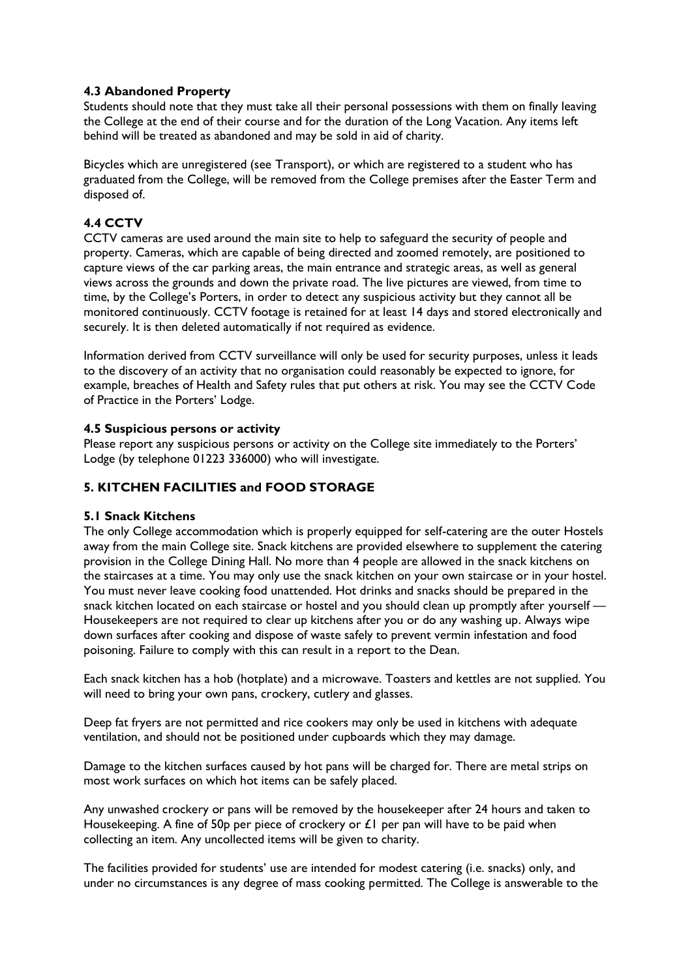### **4.3 Abandoned Property**

Students should note that they must take all their personal possessions with them on finally leaving the College at the end of their course and for the duration of the Long Vacation. Any items left behind will be treated as abandoned and may be sold in aid of charity.

Bicycles which are unregistered (see Transport), or which are registered to a student who has graduated from the College, will be removed from the College premises after the Easter Term and disposed of.

## **4.4 CCTV**

CCTV cameras are used around the main site to help to safeguard the security of people and property. Cameras, which are capable of being directed and zoomed remotely, are positioned to capture views of the car parking areas, the main entrance and strategic areas, as well as general views across the grounds and down the private road. The live pictures are viewed, from time to time, by the College's Porters, in order to detect any suspicious activity but they cannot all be monitored continuously. CCTV footage is retained for at least 14 days and stored electronically and securely. It is then deleted automatically if not required as evidence.

Information derived from CCTV surveillance will only be used for security purposes, unless it leads to the discovery of an activity that no organisation could reasonably be expected to ignore, for example, breaches of Health and Safety rules that put others at risk. You may see the CCTV Code of Practice in the Porters' Lodge.

### **4.5 Suspicious persons or activity**

Please report any suspicious persons or activity on the College site immediately to the Porters' Lodge (by telephone 01223 336000) who will investigate.

### **5. KITCHEN FACILITIES and FOOD STORAGE**

### **5.1 Snack Kitchens**

The only College accommodation which is properly equipped for self-catering are the outer Hostels away from the main College site. Snack kitchens are provided elsewhere to supplement the catering provision in the College Dining Hall. No more than 4 people are allowed in the snack kitchens on the staircases at a time. You may only use the snack kitchen on your own staircase or in your hostel. You must never leave cooking food unattended. Hot drinks and snacks should be prepared in the snack kitchen located on each staircase or hostel and you should clean up promptly after yourself — Housekeepers are not required to clear up kitchens after you or do any washing up. Always wipe down surfaces after cooking and dispose of waste safely to prevent vermin infestation and food poisoning. Failure to comply with this can result in a report to the Dean.

Each snack kitchen has a hob (hotplate) and a microwave. Toasters and kettles are not supplied. You will need to bring your own pans, crockery, cutlery and glasses.

Deep fat fryers are not permitted and rice cookers may only be used in kitchens with adequate ventilation, and should not be positioned under cupboards which they may damage.

Damage to the kitchen surfaces caused by hot pans will be charged for. There are metal strips on most work surfaces on which hot items can be safely placed.

Any unwashed crockery or pans will be removed by the housekeeper after 24 hours and taken to Housekeeping. A fine of 50p per piece of crockery or  $f \mid$  per pan will have to be paid when collecting an item. Any uncollected items will be given to charity.

The facilities provided for students' use are intended for modest catering (i.e. snacks) only, and under no circumstances is any degree of mass cooking permitted. The College is answerable to the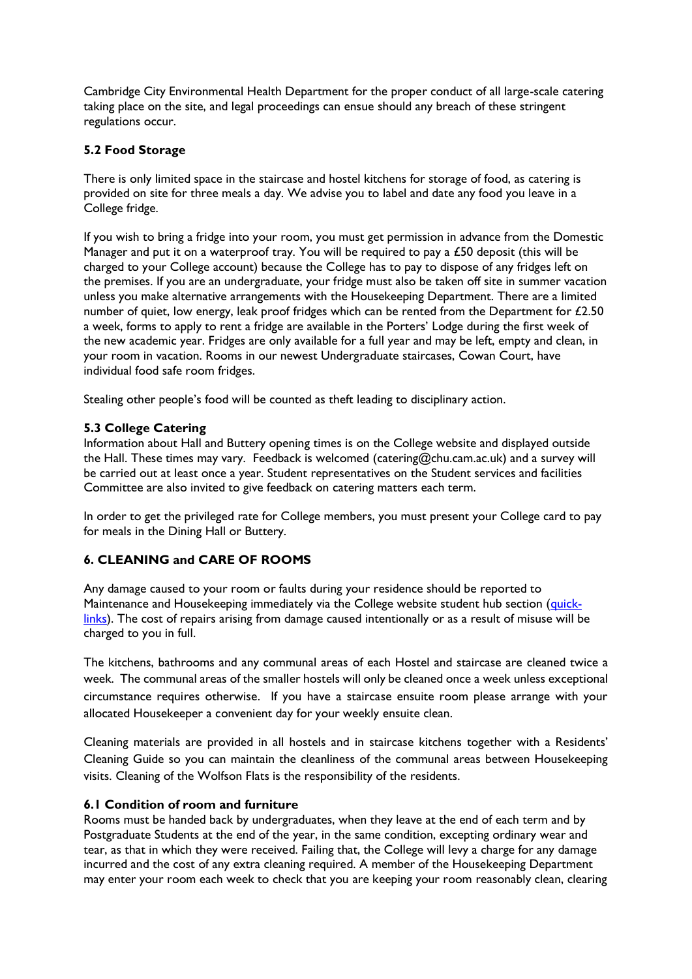Cambridge City Environmental Health Department for the proper conduct of all large-scale catering taking place on the site, and legal proceedings can ensue should any breach of these stringent regulations occur.

### **5.2 Food Storage**

There is only limited space in the staircase and hostel kitchens for storage of food, as catering is provided on site for three meals a day. We advise you to label and date any food you leave in a College fridge.

If you wish to bring a fridge into your room, you must get permission in advance from the Domestic Manager and put it on a waterproof tray. You will be required to pay a  $£50$  deposit (this will be charged to your College account) because the College has to pay to dispose of any fridges left on the premises. If you are an undergraduate, your fridge must also be taken off site in summer vacation unless you make alternative arrangements with the Housekeeping Department. There are a limited number of quiet, low energy, leak proof fridges which can be rented from the Department for £2.50 a week, forms to apply to rent a fridge are available in the Porters' Lodge during the first week of the new academic year. Fridges are only available for a full year and may be left, empty and clean, in your room in vacation. Rooms in our newest Undergraduate staircases, Cowan Court, have individual food safe room fridges.

Stealing other people's food will be counted as theft leading to disciplinary action.

### **5.3 College Catering**

Information about Hall and Buttery opening times is on the College website and displayed outside the Hall. These times may vary. Feedback is welcomed (catering@chu.cam.ac.uk) and a survey will be carried out at least once a year. Student representatives on the Student services and facilities Committee are also invited to give feedback on catering matters each term.

In order to get the privileged rate for College members, you must present your College card to pay for meals in the Dining Hall or Buttery.

## **6. CLEANING and CARE OF ROOMS**

Any damage caused to your room or faults during your residence should be reported to Maintenance and Housekeeping immediately via the College website student hub section [\(quick](https://www.chu.cam.ac.uk/student-hub/quick-links/)[links\)](https://www.chu.cam.ac.uk/student-hub/quick-links/). The cost of repairs arising from damage caused intentionally or as a result of misuse will be charged to you in full.

The kitchens, bathrooms and any communal areas of each Hostel and staircase are cleaned twice a week. The communal areas of the smaller hostels will only be cleaned once a week unless exceptional circumstance requires otherwise. If you have a staircase ensuite room please arrange with your allocated Housekeeper a convenient day for your weekly ensuite clean.

Cleaning materials are provided in all hostels and in staircase kitchens together with a Residents' Cleaning Guide so you can maintain the cleanliness of the communal areas between Housekeeping visits. Cleaning of the Wolfson Flats is the responsibility of the residents.

### **6.1 Condition of room and furniture**

Rooms must be handed back by undergraduates, when they leave at the end of each term and by Postgraduate Students at the end of the year, in the same condition, excepting ordinary wear and tear, as that in which they were received. Failing that, the College will levy a charge for any damage incurred and the cost of any extra cleaning required. A member of the Housekeeping Department may enter your room each week to check that you are keeping your room reasonably clean, clearing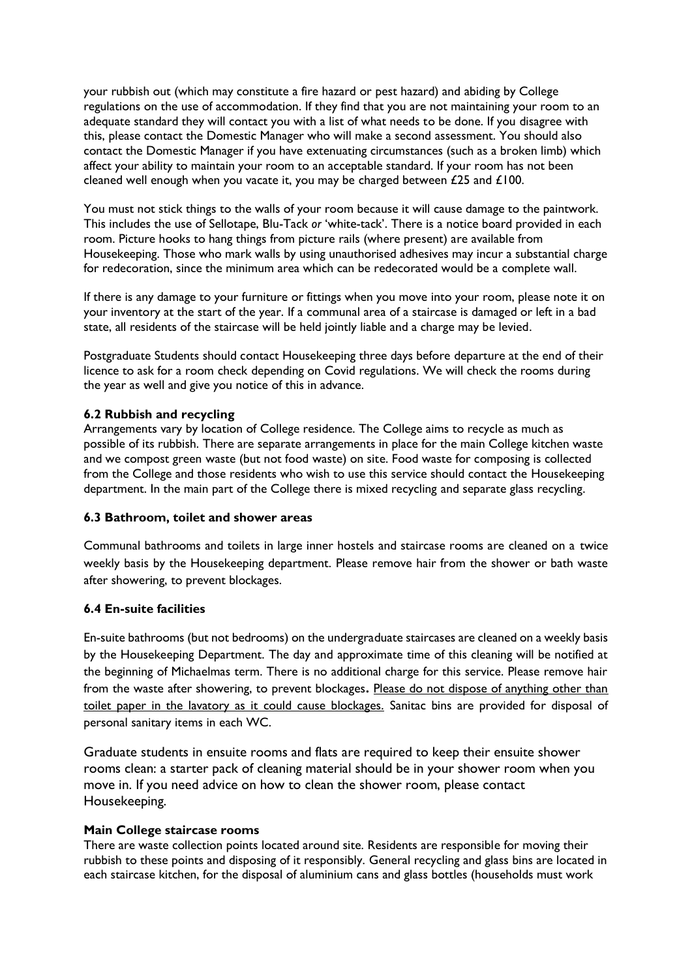your rubbish out (which may constitute a fire hazard or pest hazard) and abiding by College regulations on the use of accommodation. If they find that you are not maintaining your room to an adequate standard they will contact you with a list of what needs to be done. If you disagree with this, please contact the Domestic Manager who will make a second assessment. You should also contact the Domestic Manager if you have extenuating circumstances (such as a broken limb) which affect your ability to maintain your room to an acceptable standard. If your room has not been cleaned well enough when you vacate it, you may be charged between £25 and £100.

You must not stick things to the walls of your room because it will cause damage to the paintwork. This includes the use of Sellotape, Blu-Tack *or* 'white-tack'. There is a notice board provided in each room. Picture hooks to hang things from picture rails (where present) are available from Housekeeping. Those who mark walls by using unauthorised adhesives may incur a substantial charge for redecoration, since the minimum area which can be redecorated would be a complete wall.

If there is any damage to your furniture or fittings when you move into your room, please note it on your inventory at the start of the year. If a communal area of a staircase is damaged or left in a bad state, all residents of the staircase will be held jointly liable and a charge may be levied.

Postgraduate Students should contact Housekeeping three days before departure at the end of their licence to ask for a room check depending on Covid regulations. We will check the rooms during the year as well and give you notice of this in advance.

### **6.2 Rubbish and recycling**

Arrangements vary by location of College residence. The College aims to recycle as much as possible of its rubbish. There are separate arrangements in place for the main College kitchen waste and we compost green waste (but not food waste) on site. Food waste for composing is collected from the College and those residents who wish to use this service should contact the Housekeeping department. In the main part of the College there is mixed recycling and separate glass recycling.

### **6.3 Bathroom, toilet and shower areas**

Communal bathrooms and toilets in large inner hostels and staircase rooms are cleaned on a twice weekly basis by the Housekeeping department. Please remove hair from the shower or bath waste after showering, to prevent blockages.

### **6.4 En-suite facilities**

En-suite bathrooms (but not bedrooms) on the undergraduate staircases are cleaned on a weekly basis by the Housekeeping Department. The day and approximate time of this cleaning will be notified at the beginning of Michaelmas term. There is no additional charge for this service. Please remove hair from the waste after showering, to prevent blockages**.** Please do not dispose of anything other than toilet paper in the lavatory as it could cause blockages. Sanitac bins are provided for disposal of personal sanitary items in each WC.

Graduate students in ensuite rooms and flats are required to keep their ensuite shower rooms clean: a starter pack of cleaning material should be in your shower room when you move in. If you need advice on how to clean the shower room, please contact Housekeeping.

### **Main College staircase rooms**

There are waste collection points located around site. Residents are responsible for moving their rubbish to these points and disposing of it responsibly. General recycling and glass bins are located in each staircase kitchen, for the disposal of aluminium cans and glass bottles (households must work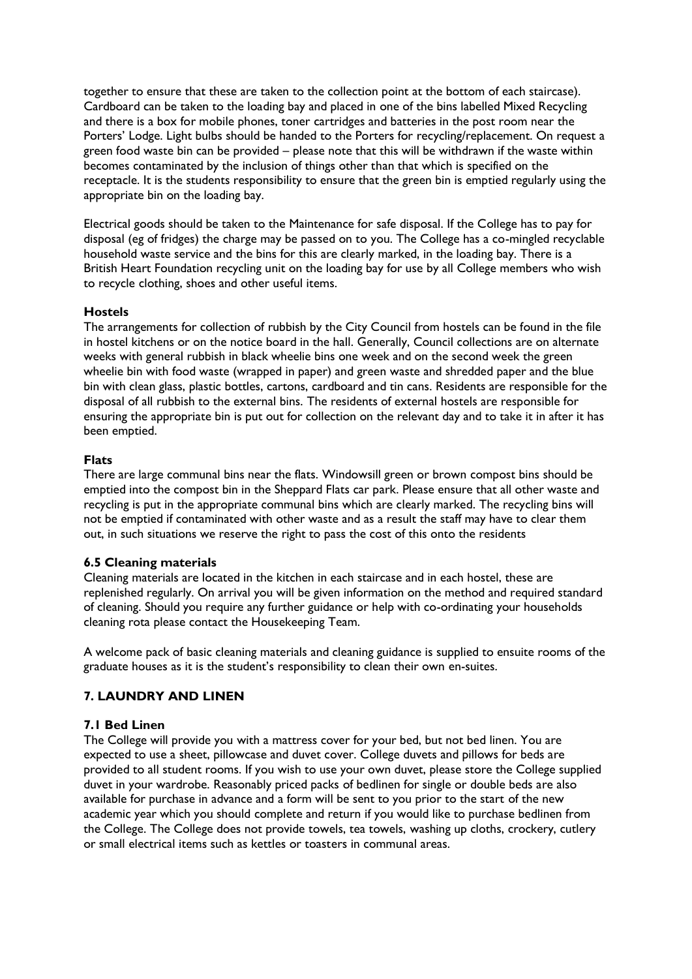together to ensure that these are taken to the collection point at the bottom of each staircase). Cardboard can be taken to the loading bay and placed in one of the bins labelled Mixed Recycling and there is a box for mobile phones, toner cartridges and batteries in the post room near the Porters' Lodge. Light bulbs should be handed to the Porters for recycling/replacement. On request a green food waste bin can be provided – please note that this will be withdrawn if the waste within becomes contaminated by the inclusion of things other than that which is specified on the receptacle. It is the students responsibility to ensure that the green bin is emptied regularly using the appropriate bin on the loading bay.

Electrical goods should be taken to the Maintenance for safe disposal. If the College has to pay for disposal (eg of fridges) the charge may be passed on to you. The College has a co-mingled recyclable household waste service and the bins for this are clearly marked, in the loading bay. There is a British Heart Foundation recycling unit on the loading bay for use by all College members who wish to recycle clothing, shoes and other useful items.

#### **Hostels**

The arrangements for collection of rubbish by the City Council from hostels can be found in the file in hostel kitchens or on the notice board in the hall. Generally, Council collections are on alternate weeks with general rubbish in black wheelie bins one week and on the second week the green wheelie bin with food waste (wrapped in paper) and green waste and shredded paper and the blue bin with clean glass, plastic bottles, cartons, cardboard and tin cans. Residents are responsible for the disposal of all rubbish to the external bins. The residents of external hostels are responsible for ensuring the appropriate bin is put out for collection on the relevant day and to take it in after it has been emptied.

#### **Flats**

There are large communal bins near the flats. Windowsill green or brown compost bins should be emptied into the compost bin in the Sheppard Flats car park. Please ensure that all other waste and recycling is put in the appropriate communal bins which are clearly marked. The recycling bins will not be emptied if contaminated with other waste and as a result the staff may have to clear them out, in such situations we reserve the right to pass the cost of this onto the residents

#### **6.5 Cleaning materials**

Cleaning materials are located in the kitchen in each staircase and in each hostel, these are replenished regularly. On arrival you will be given information on the method and required standard of cleaning. Should you require any further guidance or help with co-ordinating your households cleaning rota please contact the Housekeeping Team.

A welcome pack of basic cleaning materials and cleaning guidance is supplied to ensuite rooms of the graduate houses as it is the student's responsibility to clean their own en-suites.

### **7. LAUNDRY AND LINEN**

#### **7.1 Bed Linen**

The College will provide you with a mattress cover for your bed, but not bed linen. You are expected to use a sheet, pillowcase and duvet cover. College duvets and pillows for beds are provided to all student rooms. If you wish to use your own duvet, please store the College supplied duvet in your wardrobe. Reasonably priced packs of bedlinen for single or double beds are also available for purchase in advance and a form will be sent to you prior to the start of the new academic year which you should complete and return if you would like to purchase bedlinen from the College. The College does not provide towels, tea towels, washing up cloths, crockery, cutlery or small electrical items such as kettles or toasters in communal areas.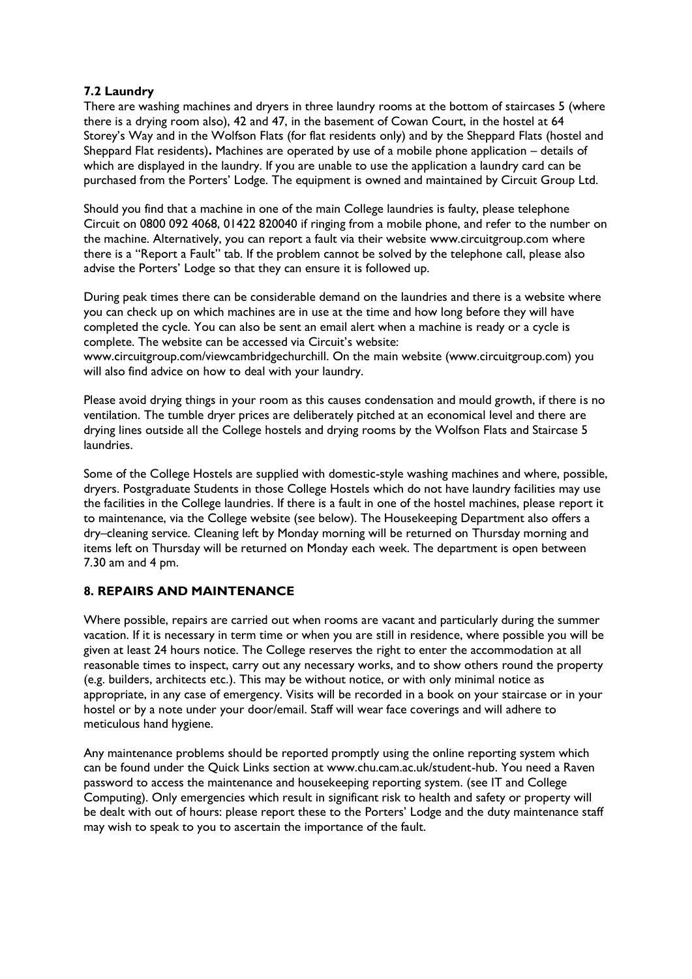### **7.2 Laundry**

There are washing machines and dryers in three laundry rooms at the bottom of staircases 5 (where there is a drying room also), 42 and 47, in the basement of Cowan Court, in the hostel at 64 Storey's Way and in the Wolfson Flats (for flat residents only) and by the Sheppard Flats (hostel and Sheppard Flat residents)**.** Machines are operated by use of a mobile phone application – details of which are displayed in the laundry. If you are unable to use the application a laundry card can be purchased from the Porters' Lodge. The equipment is owned and maintained by Circuit Group Ltd.

Should you find that a machine in one of the main College laundries is faulty, please telephone Circuit on 0800 092 4068, 01422 820040 if ringing from a mobile phone, and refer to the number on the machine. Alternatively, you can report a fault via their website www.circuitgroup.com where there is a "Report a Fault" tab. If the problem cannot be solved by the telephone call, please also advise the Porters' Lodge so that they can ensure it is followed up.

During peak times there can be considerable demand on the laundries and there is a website where you can check up on which machines are in use at the time and how long before they will have completed the cycle. You can also be sent an email alert when a machine is ready or a cycle is complete. The website can be accessed via Circuit's website:

www.circuitgroup.com/viewcambridgechurchill. On the main website (www.circuitgroup.com) you will also find advice on how to deal with your laundry.

Please avoid drying things in your room as this causes condensation and mould growth, if there is no ventilation. The tumble dryer prices are deliberately pitched at an economical level and there are drying lines outside all the College hostels and drying rooms by the Wolfson Flats and Staircase 5 laundries.

Some of the College Hostels are supplied with domestic-style washing machines and where, possible, dryers. Postgraduate Students in those College Hostels which do not have laundry facilities may use the facilities in the College laundries. If there is a fault in one of the hostel machines, please report it to maintenance, via the College website (see below). The Housekeeping Department also offers a dry–cleaning service. Cleaning left by Monday morning will be returned on Thursday morning and items left on Thursday will be returned on Monday each week. The department is open between 7.30 am and 4 pm.

### **8. REPAIRS AND MAINTENANCE**

Where possible, repairs are carried out when rooms are vacant and particularly during the summer vacation. If it is necessary in term time or when you are still in residence, where possible you will be given at least 24 hours notice. The College reserves the right to enter the accommodation at all reasonable times to inspect, carry out any necessary works, and to show others round the property (e.g. builders, architects etc.). This may be without notice, or with only minimal notice as appropriate, in any case of emergency. Visits will be recorded in a book on your staircase or in your hostel or by a note under your door/email. Staff will wear face coverings and will adhere to meticulous hand hygiene.

Any maintenance problems should be reported promptly using the online reporting system which can be found under the Quick Links section at www.chu.cam.ac.uk/student-hub. You need a Raven password to access the maintenance and housekeeping reporting system. (see IT and College Computing). Only emergencies which result in significant risk to health and safety or property will be dealt with out of hours: please report these to the Porters' Lodge and the duty maintenance staff may wish to speak to you to ascertain the importance of the fault.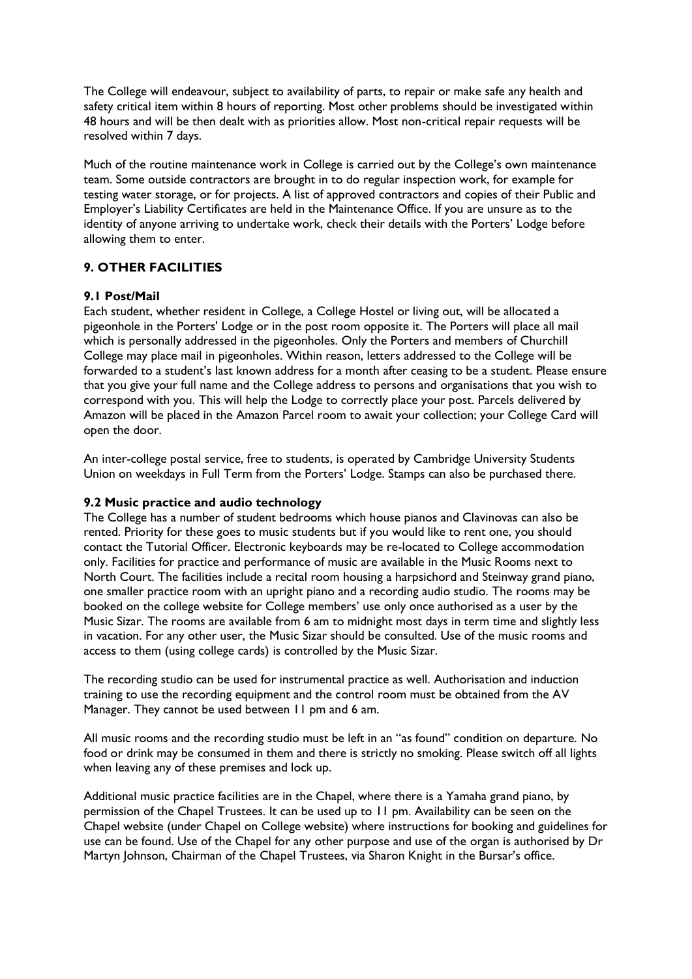The College will endeavour, subject to availability of parts, to repair or make safe any health and safety critical item within 8 hours of reporting. Most other problems should be investigated within 48 hours and will be then dealt with as priorities allow. Most non-critical repair requests will be resolved within 7 days.

Much of the routine maintenance work in College is carried out by the College's own maintenance team. Some outside contractors are brought in to do regular inspection work, for example for testing water storage, or for projects. A list of approved contractors and copies of their Public and Employer's Liability Certificates are held in the Maintenance Office. If you are unsure as to the identity of anyone arriving to undertake work, check their details with the Porters' Lodge before allowing them to enter.

## **9. OTHER FACILITIES**

### **9.1 Post/Mail**

Each student, whether resident in College, a College Hostel or living out, will be allocated a pigeonhole in the Porters' Lodge or in the post room opposite it. The Porters will place all mail which is personally addressed in the pigeonholes. Only the Porters and members of Churchill College may place mail in pigeonholes. Within reason, letters addressed to the College will be forwarded to a student's last known address for a month after ceasing to be a student. Please ensure that you give your full name and the College address to persons and organisations that you wish to correspond with you. This will help the Lodge to correctly place your post. Parcels delivered by Amazon will be placed in the Amazon Parcel room to await your collection; your College Card will open the door.

An inter-college postal service, free to students, is operated by Cambridge University Students Union on weekdays in Full Term from the Porters' Lodge. Stamps can also be purchased there.

### **9.2 Music practice and audio technology**

The College has a number of student bedrooms which house pianos and Clavinovas can also be rented. Priority for these goes to music students but if you would like to rent one, you should contact the Tutorial Officer. Electronic keyboards may be re-located to College accommodation only. Facilities for practice and performance of music are available in the Music Rooms next to North Court. The facilities include a recital room housing a harpsichord and Steinway grand piano, one smaller practice room with an upright piano and a recording audio studio. The rooms may be booked on the college website for College members' use only once authorised as a user by the Music Sizar. The rooms are available from 6 am to midnight most days in term time and slightly less in vacation. For any other user, the Music Sizar should be consulted. Use of the music rooms and access to them (using college cards) is controlled by the Music Sizar.

The recording studio can be used for instrumental practice as well. Authorisation and induction training to use the recording equipment and the control room must be obtained from the AV Manager. They cannot be used between 11 pm and 6 am.

All music rooms and the recording studio must be left in an "as found" condition on departure. No food or drink may be consumed in them and there is strictly no smoking. Please switch off all lights when leaving any of these premises and lock up.

Additional music practice facilities are in the Chapel, where there is a Yamaha grand piano, by permission of the Chapel Trustees. It can be used up to 11 pm. Availability can be seen on the Chapel website (under Chapel on College website) where instructions for booking and guidelines for use can be found. Use of the Chapel for any other purpose and use of the organ is authorised by Dr Martyn Johnson, Chairman of the Chapel Trustees, via Sharon Knight in the Bursar's office.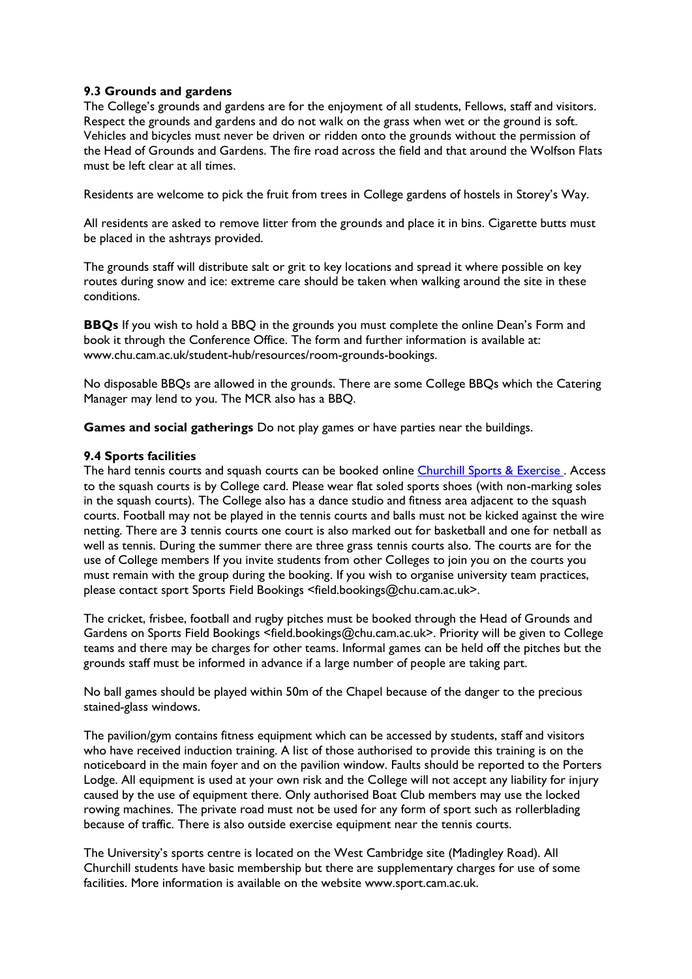### **9.3 Grounds and gardens**

The College's grounds and gardens are for the enjoyment of all students, Fellows, staff and visitors. Respect the grounds and gardens and do not walk on the grass when wet or the ground is soft. Vehicles and bicycles must never be driven or ridden onto the grounds without the permission of the Head of Grounds and Gardens. The fire road across the field and that around the Wolfson Flats must be left clear at all times.

Residents are welcome to pick the fruit from trees in College gardens of hostels in Storey's Way.

All residents are asked to remove litter from the grounds and place it in bins. Cigarette butts must be placed in the ashtrays provided.

The grounds staff will distribute salt or grit to key locations and spread it where possible on key routes during snow and ice: extreme care should be taken when walking around the site in these conditions.

**BBQs** If you wish to hold a BBQ in the grounds you must complete the online Dean's Form and book it through the Conference Office. The form and further information is available at: www.chu.cam.ac.uk/student-hub/resources/room-grounds-bookings.

No disposable BBQs are allowed in the grounds. There are some College BBQs which the Catering Manager may lend to you. The MCR also has a BBQ.

**Games and social gatherings** Do not play games or have parties near the buildings.

### **9.4 Sports facilities**

The hard tennis courts and squash courts can be booked online Churchill Sports & Exercise. Access to the squash courts is by College card. Please wear flat soled sports shoes (with non-marking soles in the squash courts). The College also has a dance studio and fitness area adjacent to the squash courts. Football may not be played in the tennis courts and balls must not be kicked against the wire netting. There are 3 tennis courts one court is also marked out for basketball and one for netball as well as tennis. During the summer there are three grass tennis courts also. The courts are for the use of College members If you invite students from other Colleges to join you on the courts you must remain with the group during the booking. If you wish to organise university team practices, please contact sport Sports Field Bookings <field.bookings@chu.cam.ac.uk>.

The cricket, frisbee, football and rugby pitches must be booked through the Head of Grounds and Gardens on Sports Field Bookings <field.bookings@chu.cam.ac.uk>. Priority will be given to College teams and there may be charges for other teams. Informal games can be held off the pitches but the grounds staff must be informed in advance if a large number of people are taking part.

No ball games should be played within 50m of the Chapel because of the danger to the precious stained-glass windows.

The pavilion/gym contains fitness equipment which can be accessed by students, staff and visitors who have received induction training. A list of those authorised to provide this training is on the noticeboard in the main foyer and on the pavilion window. Faults should be reported to the Porters Lodge. All equipment is used at your own risk and the College will not accept any liability for injury caused by the use of equipment there. Only authorised Boat Club members may use the locked rowing machines. The private road must not be used for any form of sport such as rollerblading because of traffic. There is also outside exercise equipment near the tennis courts.

The University's sports centre is located on the West Cambridge site (Madingley Road). All Churchill students have basic membership but there are supplementary charges for use of some facilities. More information is available on the website www.sport.cam.ac.uk.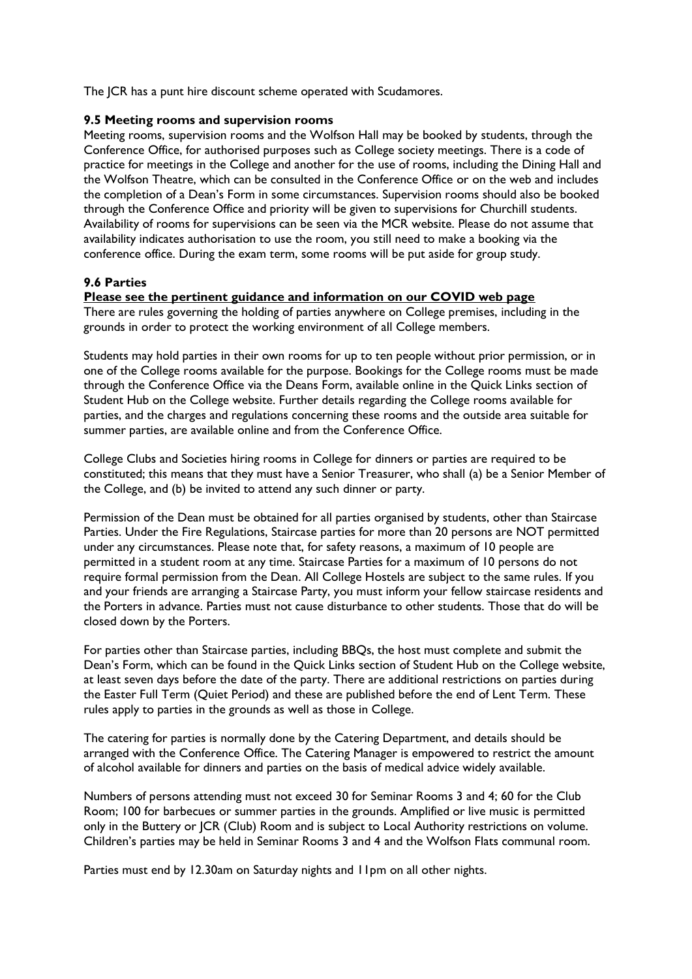The JCR has a punt hire discount scheme operated with Scudamores.

#### **9.5 Meeting rooms and supervision rooms**

Meeting rooms, supervision rooms and the Wolfson Hall may be booked by students, through the Conference Office, for authorised purposes such as College society meetings. There is a code of practice for meetings in the College and another for the use of rooms, including the Dining Hall and the Wolfson Theatre, which can be consulted in the Conference Office or on the web and includes the completion of a Dean's Form in some circumstances. Supervision rooms should also be booked through the Conference Office and priority will be given to supervisions for Churchill students. Availability of rooms for supervisions can be seen via the MCR website. Please do not assume that availability indicates authorisation to use the room, you still need to make a booking via the conference office. During the exam term, some rooms will be put aside for group study.

### **9.6 Parties**

### **Please see the pertinent guidance and information on our COVID web page**

There are rules governing the holding of parties anywhere on College premises, including in the grounds in order to protect the working environment of all College members.

Students may hold parties in their own rooms for up to ten people without prior permission, or in one of the College rooms available for the purpose. Bookings for the College rooms must be made through the Conference Office via the Deans Form, available online in the Quick Links section of Student Hub on the College website. Further details regarding the College rooms available for parties, and the charges and regulations concerning these rooms and the outside area suitable for summer parties, are available online and from the Conference Office.

College Clubs and Societies hiring rooms in College for dinners or parties are required to be constituted; this means that they must have a Senior Treasurer, who shall (a) be a Senior Member of the College, and (b) be invited to attend any such dinner or party.

Permission of the Dean must be obtained for all parties organised by students, other than Staircase Parties. Under the Fire Regulations, Staircase parties for more than 20 persons are NOT permitted under any circumstances. Please note that, for safety reasons, a maximum of 10 people are permitted in a student room at any time. Staircase Parties for a maximum of 10 persons do not require formal permission from the Dean. All College Hostels are subject to the same rules. If you and your friends are arranging a Staircase Party, you must inform your fellow staircase residents and the Porters in advance. Parties must not cause disturbance to other students. Those that do will be closed down by the Porters.

For parties other than Staircase parties, including BBQs, the host must complete and submit the Dean's Form, which can be found in the Quick Links section of Student Hub on the College website, at least seven days before the date of the party. There are additional restrictions on parties during the Easter Full Term (Quiet Period) and these are published before the end of Lent Term. These rules apply to parties in the grounds as well as those in College.

The catering for parties is normally done by the Catering Department, and details should be arranged with the Conference Office. The Catering Manager is empowered to restrict the amount of alcohol available for dinners and parties on the basis of medical advice widely available.

Numbers of persons attending must not exceed 30 for Seminar Rooms 3 and 4; 60 for the Club Room; 100 for barbecues or summer parties in the grounds. Amplified or live music is permitted only in the Buttery or JCR (Club) Room and is subject to Local Authority restrictions on volume. Children's parties may be held in Seminar Rooms 3 and 4 and the Wolfson Flats communal room.

Parties must end by 12.30am on Saturday nights and 11pm on all other nights.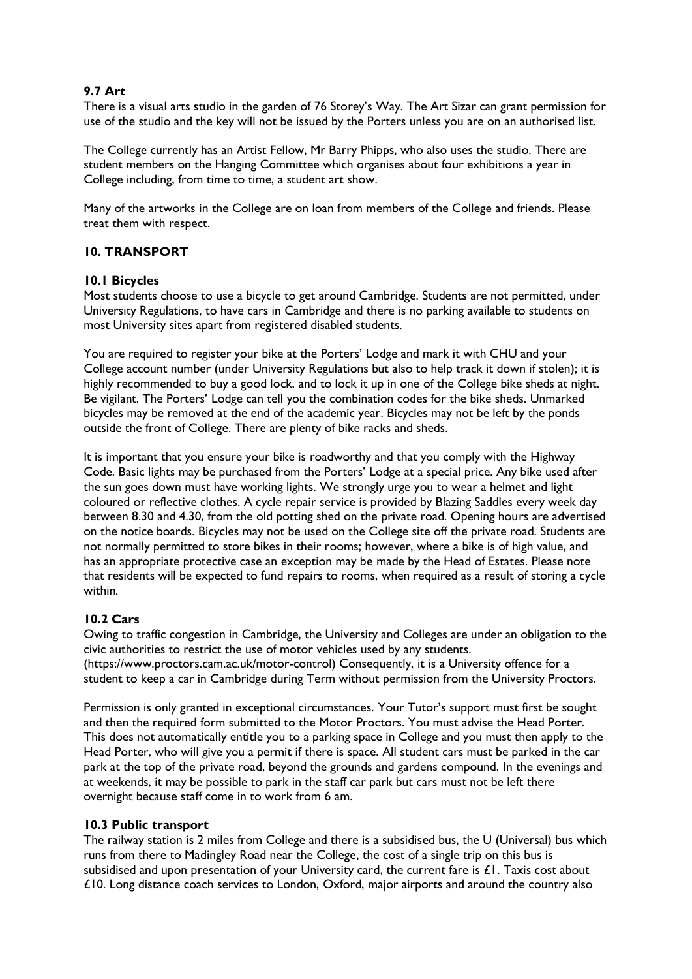### **9.7 Art**

There is a visual arts studio in the garden of 76 Storey's Way. The Art Sizar can grant permission for use of the studio and the key will not be issued by the Porters unless you are on an authorised list.

The College currently has an Artist Fellow, Mr Barry Phipps, who also uses the studio. There are student members on the Hanging Committee which organises about four exhibitions a year in College including, from time to time, a student art show.

Many of the artworks in the College are on loan from members of the College and friends. Please treat them with respect.

### **10. TRANSPORT**

### **10.1 Bicycles**

Most students choose to use a bicycle to get around Cambridge. Students are not permitted, under University Regulations, to have cars in Cambridge and there is no parking available to students on most University sites apart from registered disabled students.

You are required to register your bike at the Porters' Lodge and mark it with CHU and your College account number (under University Regulations but also to help track it down if stolen); it is highly recommended to buy a good lock, and to lock it up in one of the College bike sheds at night. Be vigilant. The Porters' Lodge can tell you the combination codes for the bike sheds. Unmarked bicycles may be removed at the end of the academic year. Bicycles may not be left by the ponds outside the front of College. There are plenty of bike racks and sheds.

It is important that you ensure your bike is roadworthy and that you comply with the Highway Code. Basic lights may be purchased from the Porters' Lodge at a special price. Any bike used after the sun goes down must have working lights. We strongly urge you to wear a helmet and light coloured or reflective clothes. A cycle repair service is provided by Blazing Saddles every week day between 8.30 and 4.30, from the old potting shed on the private road. Opening hours are advertised on the notice boards. Bicycles may not be used on the College site off the private road. Students are not normally permitted to store bikes in their rooms; however, where a bike is of high value, and has an appropriate protective case an exception may be made by the Head of Estates. Please note that residents will be expected to fund repairs to rooms, when required as a result of storing a cycle within.

### **10.2 Cars**

Owing to traffic congestion in Cambridge, the University and Colleges are under an obligation to the civic authorities to restrict the use of motor vehicles used by any students. (https://www.proctors.cam.ac.uk/motor-control) Consequently, it is a University offence for a student to keep a car in Cambridge during Term without permission from the University Proctors.

Permission is only granted in exceptional circumstances. Your Tutor's support must first be sought and then the required form submitted to the Motor Proctors. You must advise the Head Porter. This does not automatically entitle you to a parking space in College and you must then apply to the Head Porter, who will give you a permit if there is space. All student cars must be parked in the car park at the top of the private road, beyond the grounds and gardens compound. In the evenings and at weekends, it may be possible to park in the staff car park but cars must not be left there overnight because staff come in to work from 6 am.

### **10.3 Public transport**

The railway station is 2 miles from College and there is a subsidised bus, the U (Universal) bus which runs from there to Madingley Road near the College, the cost of a single trip on this bus is subsidised and upon presentation of your University card, the current fare is  $\pounds 1$ . Taxis cost about  $£10.$  Long distance coach services to London, Oxford, major airports and around the country also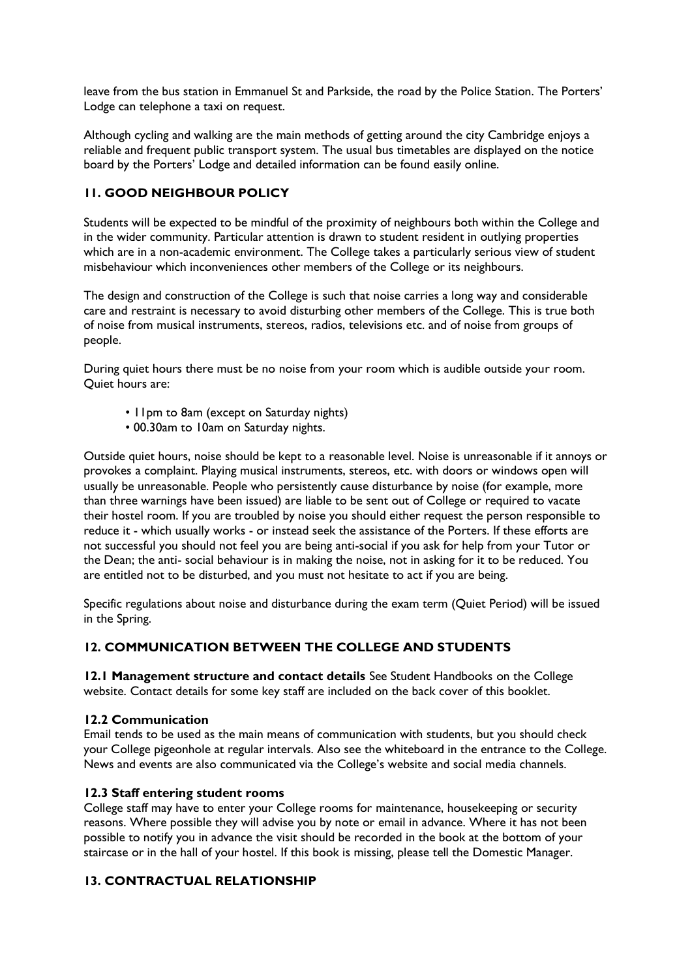leave from the bus station in Emmanuel St and Parkside, the road by the Police Station. The Porters' Lodge can telephone a taxi on request.

Although cycling and walking are the main methods of getting around the city Cambridge enjoys a reliable and frequent public transport system. The usual bus timetables are displayed on the notice board by the Porters' Lodge and detailed information can be found easily online.

### **11. GOOD NEIGHBOUR POLICY**

Students will be expected to be mindful of the proximity of neighbours both within the College and in the wider community. Particular attention is drawn to student resident in outlying properties which are in a non-academic environment. The College takes a particularly serious view of student misbehaviour which inconveniences other members of the College or its neighbours.

The design and construction of the College is such that noise carries a long way and considerable care and restraint is necessary to avoid disturbing other members of the College. This is true both of noise from musical instruments, stereos, radios, televisions etc. and of noise from groups of people.

During quiet hours there must be no noise from your room which is audible outside your room. Quiet hours are:

- 11pm to 8am (except on Saturday nights)
- 00.30am to 10am on Saturday nights.

Outside quiet hours, noise should be kept to a reasonable level. Noise is unreasonable if it annoys or provokes a complaint. Playing musical instruments, stereos, etc. with doors or windows open will usually be unreasonable. People who persistently cause disturbance by noise (for example, more than three warnings have been issued) are liable to be sent out of College or required to vacate their hostel room. If you are troubled by noise you should either request the person responsible to reduce it - which usually works - or instead seek the assistance of the Porters. If these efforts are not successful you should not feel you are being anti-social if you ask for help from your Tutor or the Dean; the anti- social behaviour is in making the noise, not in asking for it to be reduced. You are entitled not to be disturbed, and you must not hesitate to act if you are being.

Specific regulations about noise and disturbance during the exam term (Quiet Period) will be issued in the Spring.

### **12. COMMUNICATION BETWEEN THE COLLEGE AND STUDENTS**

**12.1 Management structure and contact details** See Student Handbooks on the College website. Contact details for some key staff are included on the back cover of this booklet.

### **12.2 Communication**

Email tends to be used as the main means of communication with students, but you should check your College pigeonhole at regular intervals. Also see the whiteboard in the entrance to the College. News and events are also communicated via the College's website and social media channels.

### **12.3 Staff entering student rooms**

College staff may have to enter your College rooms for maintenance, housekeeping or security reasons. Where possible they will advise you by note or email in advance. Where it has not been possible to notify you in advance the visit should be recorded in the book at the bottom of your staircase or in the hall of your hostel. If this book is missing, please tell the Domestic Manager.

### **13. CONTRACTUAL RELATIONSHIP**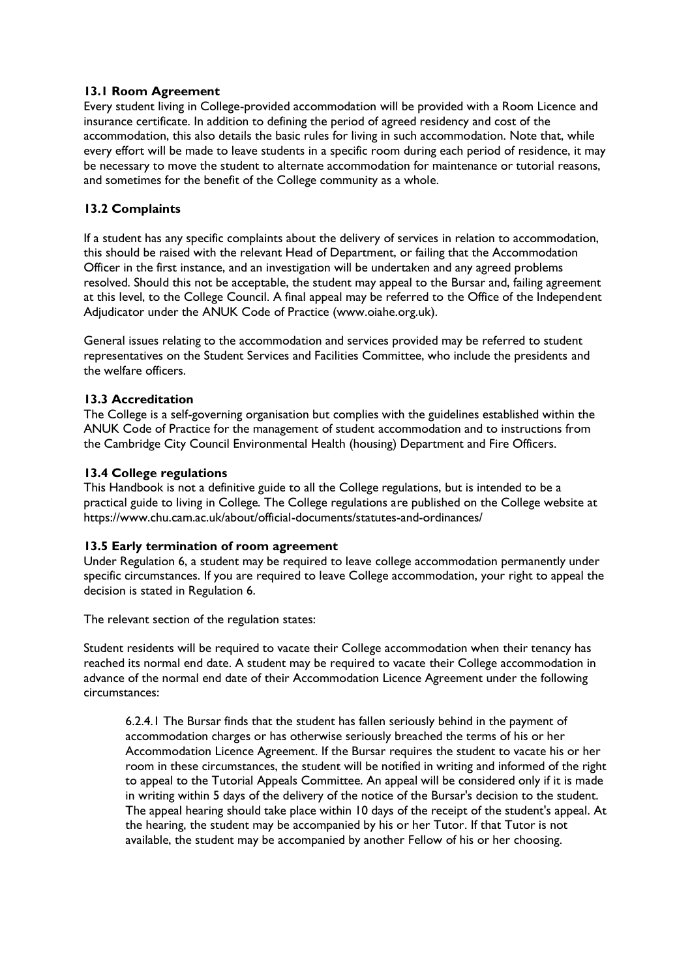### **13.1 Room Agreement**

Every student living in College-provided accommodation will be provided with a Room Licence and insurance certificate. In addition to defining the period of agreed residency and cost of the accommodation, this also details the basic rules for living in such accommodation. Note that, while every effort will be made to leave students in a specific room during each period of residence, it may be necessary to move the student to alternate accommodation for maintenance or tutorial reasons, and sometimes for the benefit of the College community as a whole.

### **13.2 Complaints**

If a student has any specific complaints about the delivery of services in relation to accommodation, this should be raised with the relevant Head of Department, or failing that the Accommodation Officer in the first instance, and an investigation will be undertaken and any agreed problems resolved. Should this not be acceptable, the student may appeal to the Bursar and, failing agreement at this level, to the College Council. A final appeal may be referred to the Office of the Independent Adjudicator under the ANUK Code of Practice (www.oiahe.org.uk).

General issues relating to the accommodation and services provided may be referred to student representatives on the Student Services and Facilities Committee, who include the presidents and the welfare officers.

### **13.3 Accreditation**

The College is a self-governing organisation but complies with the guidelines established within the ANUK Code of Practice for the management of student accommodation and to instructions from the Cambridge City Council Environmental Health (housing) Department and Fire Officers.

### **13.4 College regulations**

This Handbook is not a definitive guide to all the College regulations, but is intended to be a practical guide to living in College. The College regulations are published on the College website at https://www.chu.cam.ac.uk/about/official-documents/statutes-and-ordinances/

### **13.5 Early termination of room agreement**

Under Regulation 6, a student may be required to leave college accommodation permanently under specific circumstances. If you are required to leave College accommodation, your right to appeal the decision is stated in Regulation 6.

The relevant section of the regulation states:

Student residents will be required to vacate their College accommodation when their tenancy has reached its normal end date. A student may be required to vacate their College accommodation in advance of the normal end date of their Accommodation Licence Agreement under the following circumstances:

6.2.4.1 The Bursar finds that the student has fallen seriously behind in the payment of accommodation charges or has otherwise seriously breached the terms of his or her Accommodation Licence Agreement. If the Bursar requires the student to vacate his or her room in these circumstances, the student will be notified in writing and informed of the right to appeal to the Tutorial Appeals Committee. An appeal will be considered only if it is made in writing within 5 days of the delivery of the notice of the Bursar's decision to the student. The appeal hearing should take place within 10 days of the receipt of the student's appeal. At the hearing, the student may be accompanied by his or her Tutor. If that Tutor is not available, the student may be accompanied by another Fellow of his or her choosing.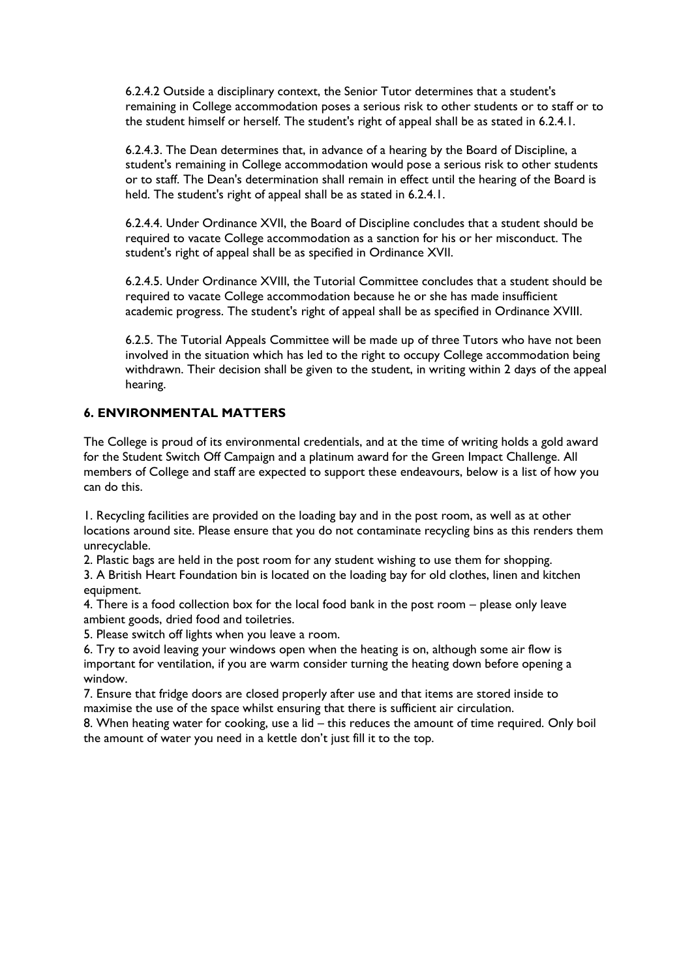6.2.4.2 Outside a disciplinary context, the Senior Tutor determines that a student's remaining in College accommodation poses a serious risk to other students or to staff or to the student himself or herself. The student's right of appeal shall be as stated in 6.2.4.1.

6.2.4.3. The Dean determines that, in advance of a hearing by the Board of Discipline, a student's remaining in College accommodation would pose a serious risk to other students or to staff. The Dean's determination shall remain in effect until the hearing of the Board is held. The student's right of appeal shall be as stated in 6.2.4.1.

6.2.4.4. Under Ordinance XVII, the Board of Discipline concludes that a student should be required to vacate College accommodation as a sanction for his or her misconduct. The student's right of appeal shall be as specified in Ordinance XVII.

6.2.4.5. Under Ordinance XVIII, the Tutorial Committee concludes that a student should be required to vacate College accommodation because he or she has made insufficient academic progress. The student's right of appeal shall be as specified in Ordinance XVIII.

6.2.5. The Tutorial Appeals Committee will be made up of three Tutors who have not been involved in the situation which has led to the right to occupy College accommodation being withdrawn. Their decision shall be given to the student, in writing within 2 days of the appeal hearing.

### **6. ENVIRONMENTAL MATTERS**

The College is proud of its environmental credentials, and at the time of writing holds a gold award for the Student Switch Off Campaign and a platinum award for the Green Impact Challenge. All members of College and staff are expected to support these endeavours, below is a list of how you can do this.

1. Recycling facilities are provided on the loading bay and in the post room, as well as at other locations around site. Please ensure that you do not contaminate recycling bins as this renders them unrecyclable.

2. Plastic bags are held in the post room for any student wishing to use them for shopping.

3. A British Heart Foundation bin is located on the loading bay for old clothes, linen and kitchen equipment.

4. There is a food collection box for the local food bank in the post room – please only leave ambient goods, dried food and toiletries.

5. Please switch off lights when you leave a room.

6. Try to avoid leaving your windows open when the heating is on, although some air flow is important for ventilation, if you are warm consider turning the heating down before opening a window.

7. Ensure that fridge doors are closed properly after use and that items are stored inside to maximise the use of the space whilst ensuring that there is sufficient air circulation.

8. When heating water for cooking, use a lid – this reduces the amount of time required. Only boil the amount of water you need in a kettle don't just fill it to the top.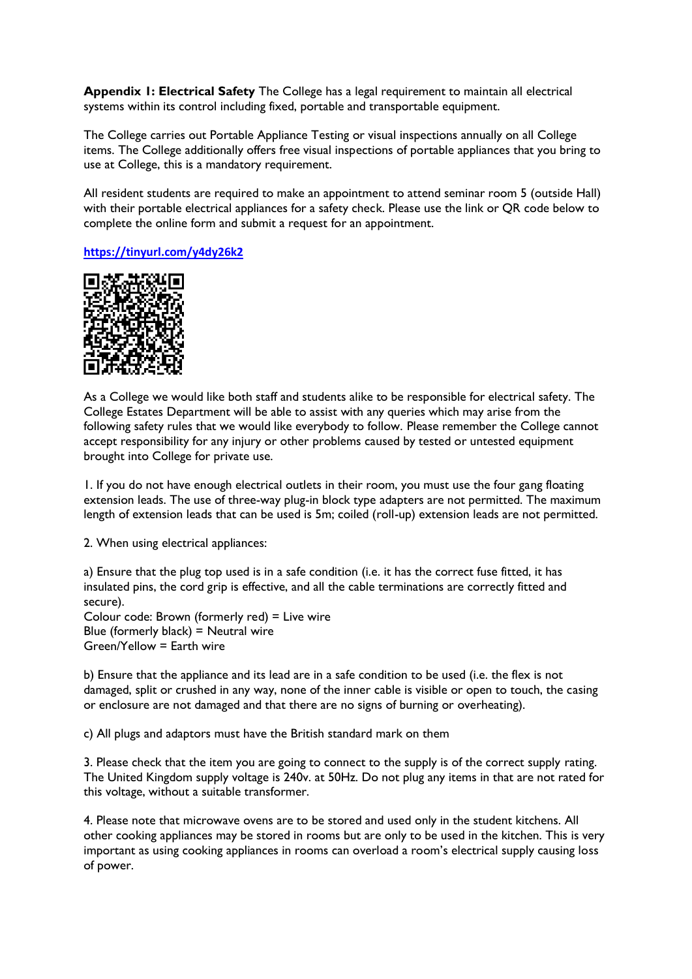**Appendix 1: Electrical Safety** The College has a legal requirement to maintain all electrical systems within its control including fixed, portable and transportable equipment.

The College carries out Portable Appliance Testing or visual inspections annually on all College items. The College additionally offers free visual inspections of portable appliances that you bring to use at College, this is a mandatory requirement.

All resident students are required to make an appointment to attend seminar room 5 (outside Hall) with their portable electrical appliances for a safety check. Please use the link or QR code below to complete the online form and submit a request for an appointment.

### **<https://tinyurl.com/y4dy26k2>**



As a College we would like both staff and students alike to be responsible for electrical safety. The College Estates Department will be able to assist with any queries which may arise from the following safety rules that we would like everybody to follow. Please remember the College cannot accept responsibility for any injury or other problems caused by tested or untested equipment brought into College for private use.

1. If you do not have enough electrical outlets in their room, you must use the four gang floating extension leads. The use of three-way plug-in block type adapters are not permitted. The maximum length of extension leads that can be used is 5m; coiled (roll-up) extension leads are not permitted.

2. When using electrical appliances:

a) Ensure that the plug top used is in a safe condition (i.e. it has the correct fuse fitted, it has insulated pins, the cord grip is effective, and all the cable terminations are correctly fitted and secure).

Colour code: Brown (formerly red) = Live wire Blue (formerly black) = Neutral wire Green/Yellow = Earth wire

b) Ensure that the appliance and its lead are in a safe condition to be used (i.e. the flex is not damaged, split or crushed in any way, none of the inner cable is visible or open to touch, the casing or enclosure are not damaged and that there are no signs of burning or overheating).

c) All plugs and adaptors must have the British standard mark on them

3. Please check that the item you are going to connect to the supply is of the correct supply rating. The United Kingdom supply voltage is 240v. at 50Hz. Do not plug any items in that are not rated for this voltage, without a suitable transformer.

4. Please note that microwave ovens are to be stored and used only in the student kitchens. All other cooking appliances may be stored in rooms but are only to be used in the kitchen. This is very important as using cooking appliances in rooms can overload a room's electrical supply causing loss of power.